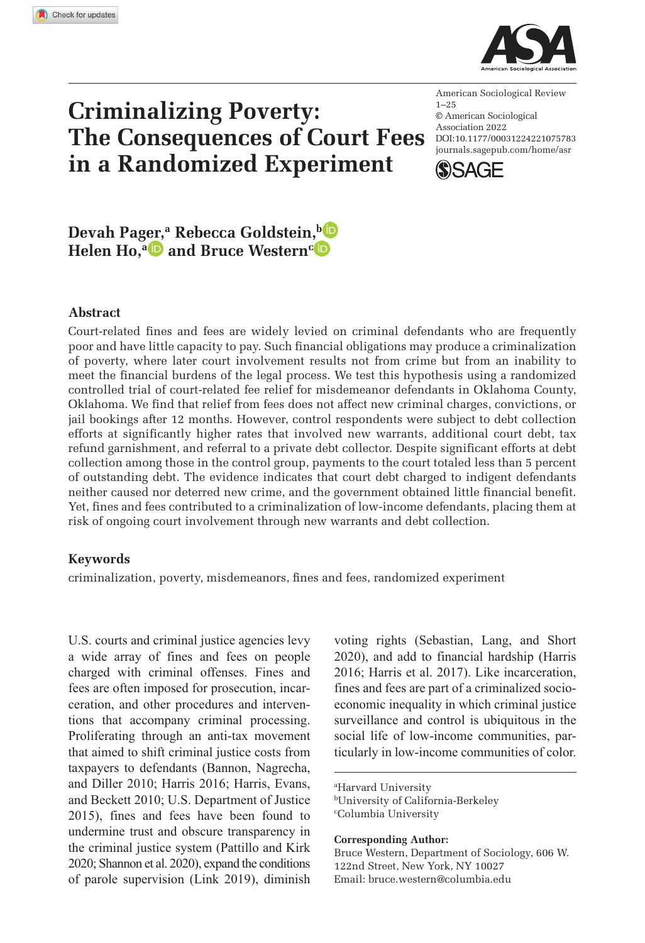**1075783** ASRXXX10.1177/00031224221075783American Sociological ReviewPager et al.



# **Criminalizing Poverty: The Consequences of Court Fees in a Randomized Experiment**

DOI:10.1177/00031224221075783 American Sociological Review  $1 - 25$ © American Sociological Association 2022 journals.sagepub.com/home/asr



# **Devah Pager,<sup>a</sup> Rebecca Goldstein,<sup>b</sup> Helen Ho,<sup>a</sup> and Bruce Western<sup>c</sup>**

### **Abstract**

Court-related fines and fees are widely levied on criminal defendants who are frequently poor and have little capacity to pay. Such financial obligations may produce a criminalization of poverty, where later court involvement results not from crime but from an inability to meet the financial burdens of the legal process. We test this hypothesis using a randomized controlled trial of court-related fee relief for misdemeanor defendants in Oklahoma County, Oklahoma. We find that relief from fees does not affect new criminal charges, convictions, or jail bookings after 12 months. However, control respondents were subject to debt collection efforts at significantly higher rates that involved new warrants, additional court debt, tax refund garnishment, and referral to a private debt collector. Despite significant efforts at debt collection among those in the control group, payments to the court totaled less than 5 percent of outstanding debt. The evidence indicates that court debt charged to indigent defendants neither caused nor deterred new crime, and the government obtained little financial benefit. Yet, fines and fees contributed to a criminalization of low-income defendants, placing them at risk of ongoing court involvement through new warrants and debt collection.

#### **Keywords**

criminalization, poverty, misdemeanors, fines and fees, randomized experiment

U.S. courts and criminal justice agencies levy a wide array of fines and fees on people charged with criminal offenses. Fines and fees are often imposed for prosecution, incarceration, and other procedures and interventions that accompany criminal processing. Proliferating through an anti-tax movement that aimed to shift criminal justice costs from taxpayers to defendants (Bannon, Nagrecha, and Diller 2010; Harris 2016; Harris, Evans, and Beckett 2010; U.S. Department of Justice 2015), fines and fees have been found to undermine trust and obscure transparency in the criminal justice system (Pattillo and Kirk 2020; Shannon et al. 2020), expand the conditions of parole supervision (Link 2019), diminish voting rights (Sebastian, Lang, and Short 2020), and add to financial hardship (Harris 2016; Harris et al. 2017). Like incarceration, fines and fees are part of a criminalized socioeconomic inequality in which criminal justice surveillance and control is ubiquitous in the social life of low-income communities, particularly in low-income communities of color.

<sup>a</sup>Harvard University <sup>b</sup>University of California-Berkeley <sup>c</sup>Columbia University

**Corresponding Author:**

Bruce Western, Department of Sociology, 606 W. 122nd Street, New York, NY 10027 Email: bruce.western@columbia.edu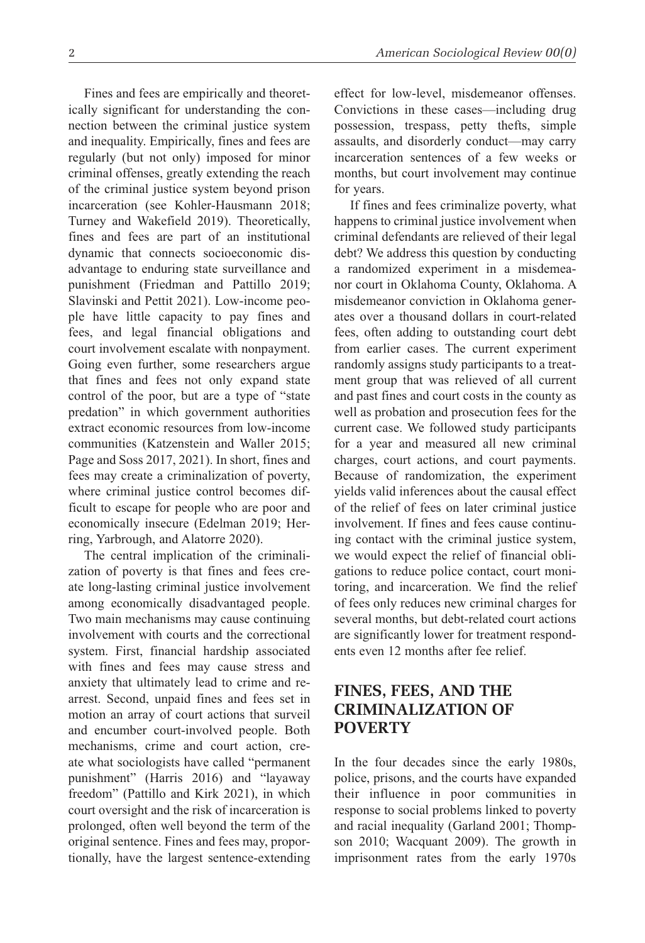Fines and fees are empirically and theoretically significant for understanding the connection between the criminal justice system and inequality. Empirically, fines and fees are regularly (but not only) imposed for minor criminal offenses, greatly extending the reach of the criminal justice system beyond prison incarceration (see Kohler-Hausmann 2018; Turney and Wakefield 2019). Theoretically, fines and fees are part of an institutional dynamic that connects socioeconomic disadvantage to enduring state surveillance and punishment (Friedman and Pattillo 2019; Slavinski and Pettit 2021). Low-income people have little capacity to pay fines and fees, and legal financial obligations and court involvement escalate with nonpayment. Going even further, some researchers argue that fines and fees not only expand state control of the poor, but are a type of "state predation" in which government authorities extract economic resources from low-income communities (Katzenstein and Waller 2015; Page and Soss 2017, 2021). In short, fines and fees may create a criminalization of poverty, where criminal justice control becomes difficult to escape for people who are poor and economically insecure (Edelman 2019; Herring, Yarbrough, and Alatorre 2020).

The central implication of the criminalization of poverty is that fines and fees create long-lasting criminal justice involvement among economically disadvantaged people. Two main mechanisms may cause continuing involvement with courts and the correctional system. First, financial hardship associated with fines and fees may cause stress and anxiety that ultimately lead to crime and rearrest. Second, unpaid fines and fees set in motion an array of court actions that surveil and encumber court-involved people. Both mechanisms, crime and court action, create what sociologists have called "permanent punishment" (Harris 2016) and "layaway freedom" (Pattillo and Kirk 2021), in which court oversight and the risk of incarceration is prolonged, often well beyond the term of the original sentence. Fines and fees may, proportionally, have the largest sentence-extending effect for low-level, misdemeanor offenses. Convictions in these cases—including drug possession, trespass, petty thefts, simple assaults, and disorderly conduct—may carry incarceration sentences of a few weeks or months, but court involvement may continue for years.

If fines and fees criminalize poverty, what happens to criminal justice involvement when criminal defendants are relieved of their legal debt? We address this question by conducting a randomized experiment in a misdemeanor court in Oklahoma County, Oklahoma. A misdemeanor conviction in Oklahoma generates over a thousand dollars in court-related fees, often adding to outstanding court debt from earlier cases. The current experiment randomly assigns study participants to a treatment group that was relieved of all current and past fines and court costs in the county as well as probation and prosecution fees for the current case. We followed study participants for a year and measured all new criminal charges, court actions, and court payments. Because of randomization, the experiment yields valid inferences about the causal effect of the relief of fees on later criminal justice involvement. If fines and fees cause continuing contact with the criminal justice system, we would expect the relief of financial obligations to reduce police contact, court monitoring, and incarceration. We find the relief of fees only reduces new criminal charges for several months, but debt-related court actions are significantly lower for treatment respondents even 12 months after fee relief.

# **FINES, FEES, AND THE CRIMINALIZATION OF POVERTY**

In the four decades since the early 1980s, police, prisons, and the courts have expanded their influence in poor communities in response to social problems linked to poverty and racial inequality (Garland 2001; Thompson 2010; Wacquant 2009). The growth in imprisonment rates from the early 1970s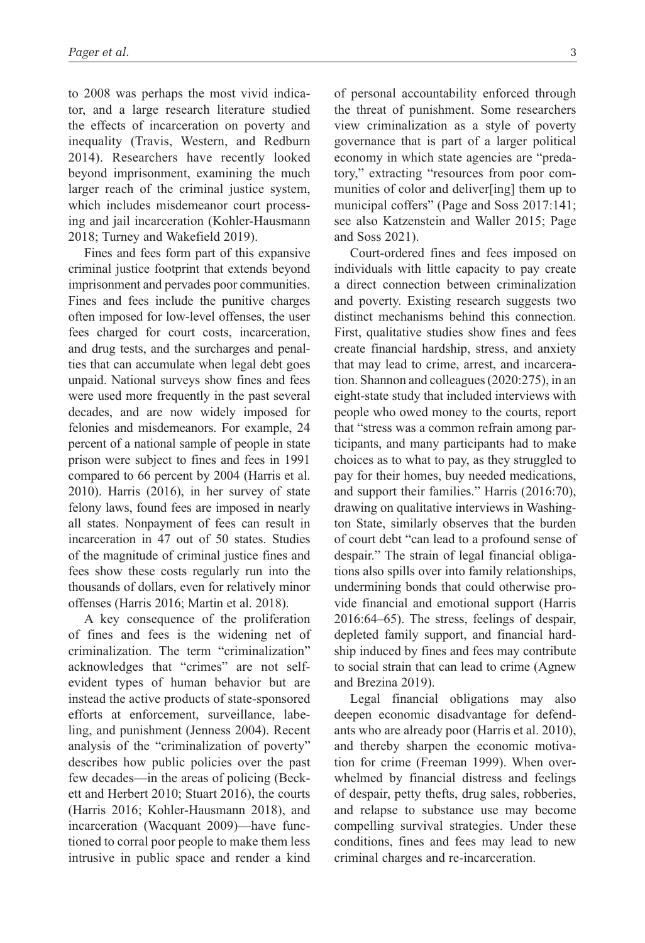to 2008 was perhaps the most vivid indicator, and a large research literature studied the effects of incarceration on poverty and inequality (Travis, Western, and Redburn 2014). Researchers have recently looked beyond imprisonment, examining the much larger reach of the criminal justice system, which includes misdemeanor court processing and jail incarceration (Kohler-Hausmann 2018; Turney and Wakefield 2019).

Fines and fees form part of this expansive criminal justice footprint that extends beyond imprisonment and pervades poor communities. Fines and fees include the punitive charges often imposed for low-level offenses, the user fees charged for court costs, incarceration, and drug tests, and the surcharges and penalties that can accumulate when legal debt goes unpaid. National surveys show fines and fees were used more frequently in the past several decades, and are now widely imposed for felonies and misdemeanors. For example, 24 percent of a national sample of people in state prison were subject to fines and fees in 1991 compared to 66 percent by 2004 (Harris et al. 2010). Harris (2016), in her survey of state felony laws, found fees are imposed in nearly all states. Nonpayment of fees can result in incarceration in 47 out of 50 states. Studies of the magnitude of criminal justice fines and fees show these costs regularly run into the thousands of dollars, even for relatively minor offenses (Harris 2016; Martin et al. 2018).

A key consequence of the proliferation of fines and fees is the widening net of criminalization. The term "criminalization" acknowledges that "crimes" are not selfevident types of human behavior but are instead the active products of state-sponsored efforts at enforcement, surveillance, labeling, and punishment (Jenness 2004). Recent analysis of the "criminalization of poverty" describes how public policies over the past few decades—in the areas of policing (Beckett and Herbert 2010; Stuart 2016), the courts (Harris 2016; Kohler-Hausmann 2018), and incarceration (Wacquant 2009)—have functioned to corral poor people to make them less intrusive in public space and render a kind

of personal accountability enforced through the threat of punishment. Some researchers view criminalization as a style of poverty governance that is part of a larger political economy in which state agencies are "predatory," extracting "resources from poor communities of color and deliver[ing] them up to municipal coffers" (Page and Soss 2017:141; see also Katzenstein and Waller 2015; Page and Soss 2021).

Court-ordered fines and fees imposed on individuals with little capacity to pay create a direct connection between criminalization and poverty. Existing research suggests two distinct mechanisms behind this connection. First, qualitative studies show fines and fees create financial hardship, stress, and anxiety that may lead to crime, arrest, and incarceration. Shannon and colleagues (2020:275), in an eight-state study that included interviews with people who owed money to the courts, report that "stress was a common refrain among participants, and many participants had to make choices as to what to pay, as they struggled to pay for their homes, buy needed medications, and support their families." Harris (2016:70), drawing on qualitative interviews in Washington State, similarly observes that the burden of court debt "can lead to a profound sense of despair." The strain of legal financial obligations also spills over into family relationships, undermining bonds that could otherwise provide financial and emotional support (Harris 2016:64–65). The stress, feelings of despair, depleted family support, and financial hardship induced by fines and fees may contribute to social strain that can lead to crime (Agnew and Brezina 2019).

Legal financial obligations may also deepen economic disadvantage for defendants who are already poor (Harris et al. 2010), and thereby sharpen the economic motivation for crime (Freeman 1999). When overwhelmed by financial distress and feelings of despair, petty thefts, drug sales, robberies, and relapse to substance use may become compelling survival strategies. Under these conditions, fines and fees may lead to new criminal charges and re-incarceration.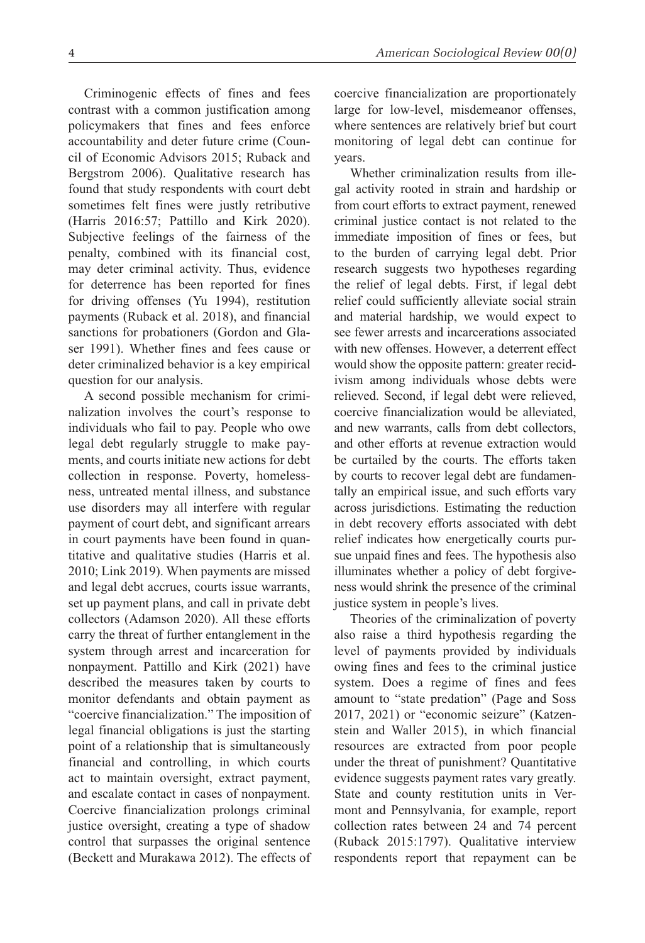Criminogenic effects of fines and fees contrast with a common justification among policymakers that fines and fees enforce accountability and deter future crime (Council of Economic Advisors 2015; Ruback and Bergstrom 2006). Qualitative research has found that study respondents with court debt sometimes felt fines were justly retributive (Harris 2016:57; Pattillo and Kirk 2020). Subjective feelings of the fairness of the penalty, combined with its financial cost, may deter criminal activity. Thus, evidence for deterrence has been reported for fines for driving offenses (Yu 1994), restitution payments (Ruback et al. 2018), and financial sanctions for probationers (Gordon and Glaser 1991). Whether fines and fees cause or deter criminalized behavior is a key empirical question for our analysis.

A second possible mechanism for criminalization involves the court's response to individuals who fail to pay. People who owe legal debt regularly struggle to make payments, and courts initiate new actions for debt collection in response. Poverty, homelessness, untreated mental illness, and substance use disorders may all interfere with regular payment of court debt, and significant arrears in court payments have been found in quantitative and qualitative studies (Harris et al. 2010; Link 2019). When payments are missed and legal debt accrues, courts issue warrants, set up payment plans, and call in private debt collectors (Adamson 2020). All these efforts carry the threat of further entanglement in the system through arrest and incarceration for nonpayment. Pattillo and Kirk (2021) have described the measures taken by courts to monitor defendants and obtain payment as "coercive financialization." The imposition of legal financial obligations is just the starting point of a relationship that is simultaneously financial and controlling, in which courts act to maintain oversight, extract payment, and escalate contact in cases of nonpayment. Coercive financialization prolongs criminal justice oversight, creating a type of shadow control that surpasses the original sentence (Beckett and Murakawa 2012). The effects of coercive financialization are proportionately large for low-level, misdemeanor offenses, where sentences are relatively brief but court monitoring of legal debt can continue for years.

Whether criminalization results from illegal activity rooted in strain and hardship or from court efforts to extract payment, renewed criminal justice contact is not related to the immediate imposition of fines or fees, but to the burden of carrying legal debt. Prior research suggests two hypotheses regarding the relief of legal debts. First, if legal debt relief could sufficiently alleviate social strain and material hardship, we would expect to see fewer arrests and incarcerations associated with new offenses. However, a deterrent effect would show the opposite pattern: greater recidivism among individuals whose debts were relieved. Second, if legal debt were relieved, coercive financialization would be alleviated, and new warrants, calls from debt collectors, and other efforts at revenue extraction would be curtailed by the courts. The efforts taken by courts to recover legal debt are fundamentally an empirical issue, and such efforts vary across jurisdictions. Estimating the reduction in debt recovery efforts associated with debt relief indicates how energetically courts pursue unpaid fines and fees. The hypothesis also illuminates whether a policy of debt forgiveness would shrink the presence of the criminal justice system in people's lives.

Theories of the criminalization of poverty also raise a third hypothesis regarding the level of payments provided by individuals owing fines and fees to the criminal justice system. Does a regime of fines and fees amount to "state predation" (Page and Soss 2017, 2021) or "economic seizure" (Katzenstein and Waller 2015), in which financial resources are extracted from poor people under the threat of punishment? Quantitative evidence suggests payment rates vary greatly. State and county restitution units in Vermont and Pennsylvania, for example, report collection rates between 24 and 74 percent (Ruback 2015:1797). Qualitative interview respondents report that repayment can be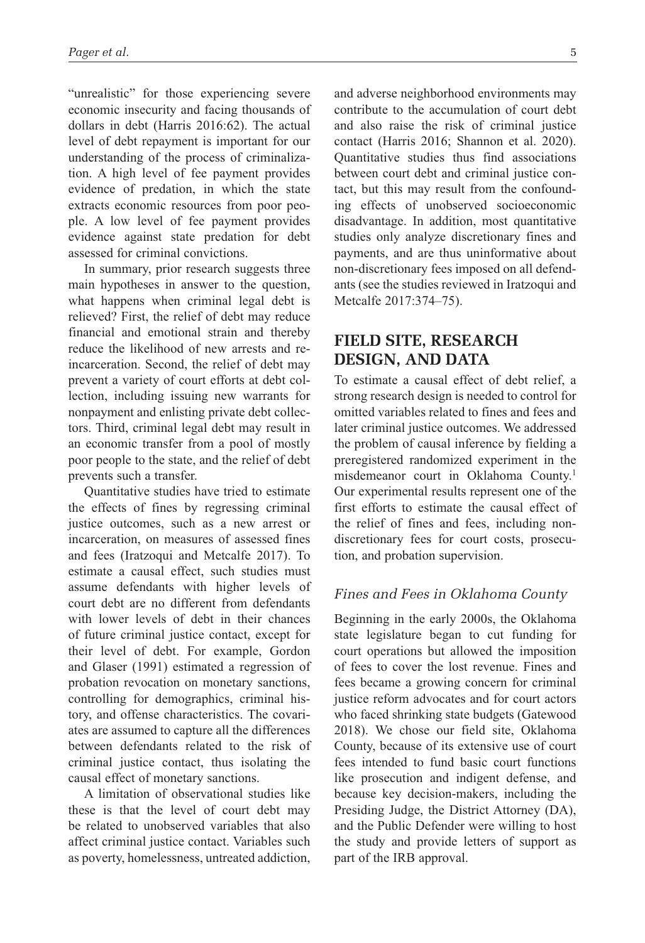"unrealistic" for those experiencing severe economic insecurity and facing thousands of dollars in debt (Harris 2016:62). The actual level of debt repayment is important for our understanding of the process of criminalization. A high level of fee payment provides evidence of predation, in which the state extracts economic resources from poor people. A low level of fee payment provides evidence against state predation for debt assessed for criminal convictions.

In summary, prior research suggests three main hypotheses in answer to the question, what happens when criminal legal debt is relieved? First, the relief of debt may reduce financial and emotional strain and thereby reduce the likelihood of new arrests and reincarceration. Second, the relief of debt may prevent a variety of court efforts at debt collection, including issuing new warrants for nonpayment and enlisting private debt collectors. Third, criminal legal debt may result in an economic transfer from a pool of mostly poor people to the state, and the relief of debt prevents such a transfer.

Quantitative studies have tried to estimate the effects of fines by regressing criminal justice outcomes, such as a new arrest or incarceration, on measures of assessed fines and fees (Iratzoqui and Metcalfe 2017). To estimate a causal effect, such studies must assume defendants with higher levels of court debt are no different from defendants with lower levels of debt in their chances of future criminal justice contact, except for their level of debt. For example, Gordon and Glaser (1991) estimated a regression of probation revocation on monetary sanctions, controlling for demographics, criminal history, and offense characteristics. The covariates are assumed to capture all the differences between defendants related to the risk of criminal justice contact, thus isolating the causal effect of monetary sanctions.

A limitation of observational studies like these is that the level of court debt may be related to unobserved variables that also affect criminal justice contact. Variables such as poverty, homelessness, untreated addiction, and adverse neighborhood environments may contribute to the accumulation of court debt and also raise the risk of criminal justice contact (Harris 2016; Shannon et al. 2020). Quantitative studies thus find associations between court debt and criminal justice contact, but this may result from the confounding effects of unobserved socioeconomic disadvantage. In addition, most quantitative studies only analyze discretionary fines and payments, and are thus uninformative about non-discretionary fees imposed on all defendants (see the studies reviewed in Iratzoqui and Metcalfe 2017:374–75).

# **FIELD SITE, RESEARCH DESIGN, AND DATA**

To estimate a causal effect of debt relief, a strong research design is needed to control for omitted variables related to fines and fees and later criminal justice outcomes. We addressed the problem of causal inference by fielding a preregistered randomized experiment in the misdemeanor court in Oklahoma County.<sup>1</sup> Our experimental results represent one of the first efforts to estimate the causal effect of the relief of fines and fees, including nondiscretionary fees for court costs, prosecution, and probation supervision.

### *Fines and Fees in Oklahoma County*

Beginning in the early 2000s, the Oklahoma state legislature began to cut funding for court operations but allowed the imposition of fees to cover the lost revenue. Fines and fees became a growing concern for criminal justice reform advocates and for court actors who faced shrinking state budgets (Gatewood 2018). We chose our field site, Oklahoma County, because of its extensive use of court fees intended to fund basic court functions like prosecution and indigent defense, and because key decision-makers, including the Presiding Judge, the District Attorney (DA), and the Public Defender were willing to host the study and provide letters of support as part of the IRB approval.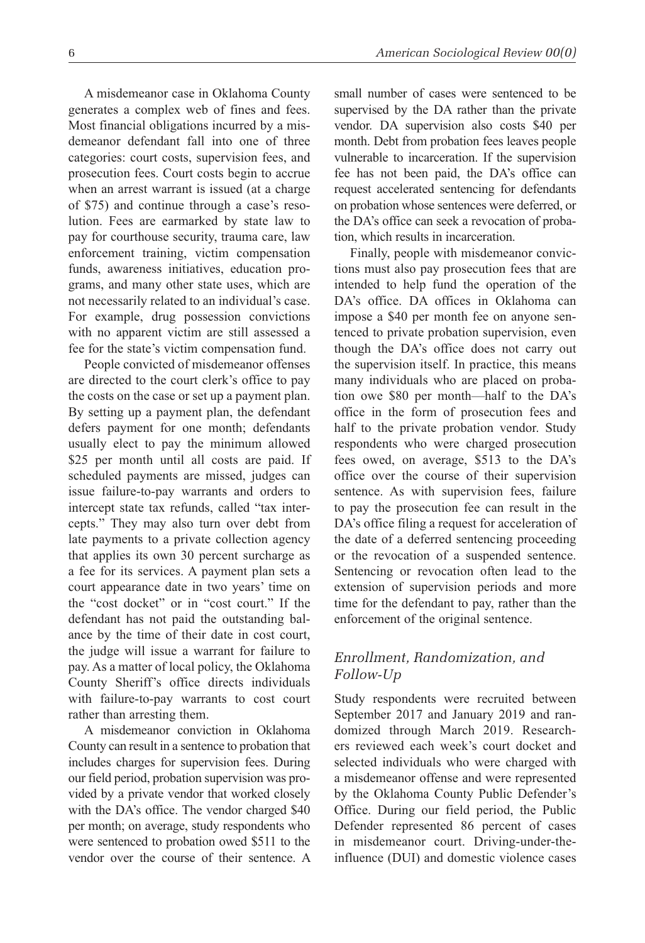A misdemeanor case in Oklahoma County generates a complex web of fines and fees. Most financial obligations incurred by a misdemeanor defendant fall into one of three categories: court costs, supervision fees, and prosecution fees. Court costs begin to accrue when an arrest warrant is issued (at a charge of \$75) and continue through a case's resolution. Fees are earmarked by state law to pay for courthouse security, trauma care, law enforcement training, victim compensation funds, awareness initiatives, education programs, and many other state uses, which are not necessarily related to an individual's case. For example, drug possession convictions with no apparent victim are still assessed a fee for the state's victim compensation fund.

People convicted of misdemeanor offenses are directed to the court clerk's office to pay the costs on the case or set up a payment plan. By setting up a payment plan, the defendant defers payment for one month; defendants usually elect to pay the minimum allowed \$25 per month until all costs are paid. If scheduled payments are missed, judges can issue failure-to-pay warrants and orders to intercept state tax refunds, called "tax intercepts." They may also turn over debt from late payments to a private collection agency that applies its own 30 percent surcharge as a fee for its services. A payment plan sets a court appearance date in two years' time on the "cost docket" or in "cost court." If the defendant has not paid the outstanding balance by the time of their date in cost court, the judge will issue a warrant for failure to pay. As a matter of local policy, the Oklahoma County Sheriff's office directs individuals with failure-to-pay warrants to cost court rather than arresting them.

A misdemeanor conviction in Oklahoma County can result in a sentence to probation that includes charges for supervision fees. During our field period, probation supervision was provided by a private vendor that worked closely with the DA's office. The vendor charged \$40 per month; on average, study respondents who were sentenced to probation owed \$511 to the vendor over the course of their sentence. A small number of cases were sentenced to be supervised by the DA rather than the private vendor. DA supervision also costs \$40 per month. Debt from probation fees leaves people vulnerable to incarceration. If the supervision fee has not been paid, the DA's office can request accelerated sentencing for defendants on probation whose sentences were deferred, or the DA's office can seek a revocation of probation, which results in incarceration.

Finally, people with misdemeanor convictions must also pay prosecution fees that are intended to help fund the operation of the DA's office. DA offices in Oklahoma can impose a \$40 per month fee on anyone sentenced to private probation supervision, even though the DA's office does not carry out the supervision itself. In practice, this means many individuals who are placed on probation owe \$80 per month—half to the DA's office in the form of prosecution fees and half to the private probation vendor. Study respondents who were charged prosecution fees owed, on average, \$513 to the DA's office over the course of their supervision sentence. As with supervision fees, failure to pay the prosecution fee can result in the DA's office filing a request for acceleration of the date of a deferred sentencing proceeding or the revocation of a suspended sentence. Sentencing or revocation often lead to the extension of supervision periods and more time for the defendant to pay, rather than the enforcement of the original sentence.

# *Enrollment, Randomization, and Follow-Up*

Study respondents were recruited between September 2017 and January 2019 and randomized through March 2019. Researchers reviewed each week's court docket and selected individuals who were charged with a misdemeanor offense and were represented by the Oklahoma County Public Defender's Office. During our field period, the Public Defender represented 86 percent of cases in misdemeanor court. Driving-under-theinfluence (DUI) and domestic violence cases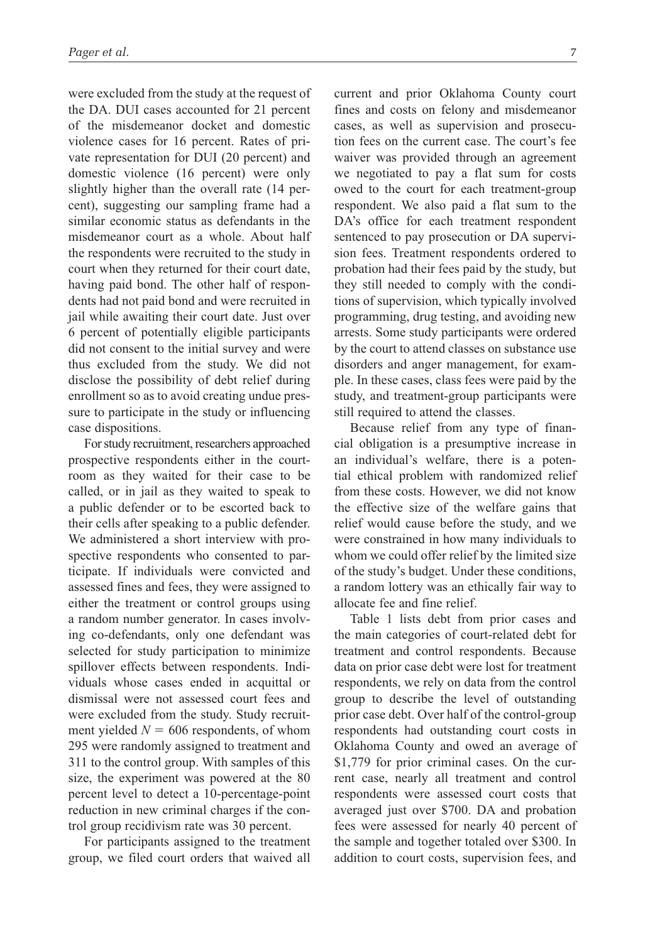were excluded from the study at the request of the DA. DUI cases accounted for 21 percent of the misdemeanor docket and domestic violence cases for 16 percent. Rates of private representation for DUI (20 percent) and domestic violence (16 percent) were only slightly higher than the overall rate (14 percent), suggesting our sampling frame had a similar economic status as defendants in the misdemeanor court as a whole. About half the respondents were recruited to the study in court when they returned for their court date, having paid bond. The other half of respondents had not paid bond and were recruited in jail while awaiting their court date. Just over 6 percent of potentially eligible participants did not consent to the initial survey and were thus excluded from the study. We did not disclose the possibility of debt relief during enrollment so as to avoid creating undue pressure to participate in the study or influencing case dispositions.

For study recruitment, researchers approached prospective respondents either in the courtroom as they waited for their case to be called, or in jail as they waited to speak to a public defender or to be escorted back to their cells after speaking to a public defender. We administered a short interview with prospective respondents who consented to participate. If individuals were convicted and assessed fines and fees, they were assigned to either the treatment or control groups using a random number generator. In cases involving co-defendants, only one defendant was selected for study participation to minimize spillover effects between respondents. Individuals whose cases ended in acquittal or dismissal were not assessed court fees and were excluded from the study. Study recruitment yielded  $N = 606$  respondents, of whom 295 were randomly assigned to treatment and 311 to the control group. With samples of this size, the experiment was powered at the 80 percent level to detect a 10-percentage-point reduction in new criminal charges if the control group recidivism rate was 30 percent.

For participants assigned to the treatment group, we filed court orders that waived all current and prior Oklahoma County court fines and costs on felony and misdemeanor cases, as well as supervision and prosecution fees on the current case. The court's fee waiver was provided through an agreement we negotiated to pay a flat sum for costs owed to the court for each treatment-group respondent. We also paid a flat sum to the DA's office for each treatment respondent sentenced to pay prosecution or DA supervision fees. Treatment respondents ordered to probation had their fees paid by the study, but they still needed to comply with the conditions of supervision, which typically involved programming, drug testing, and avoiding new arrests. Some study participants were ordered by the court to attend classes on substance use disorders and anger management, for example. In these cases, class fees were paid by the study, and treatment-group participants were still required to attend the classes.

Because relief from any type of financial obligation is a presumptive increase in an individual's welfare, there is a potential ethical problem with randomized relief from these costs. However, we did not know the effective size of the welfare gains that relief would cause before the study, and we were constrained in how many individuals to whom we could offer relief by the limited size of the study's budget. Under these conditions, a random lottery was an ethically fair way to allocate fee and fine relief.

Table 1 lists debt from prior cases and the main categories of court-related debt for treatment and control respondents. Because data on prior case debt were lost for treatment respondents, we rely on data from the control group to describe the level of outstanding prior case debt. Over half of the control-group respondents had outstanding court costs in Oklahoma County and owed an average of \$1,779 for prior criminal cases. On the current case, nearly all treatment and control respondents were assessed court costs that averaged just over \$700. DA and probation fees were assessed for nearly 40 percent of the sample and together totaled over \$300. In addition to court costs, supervision fees, and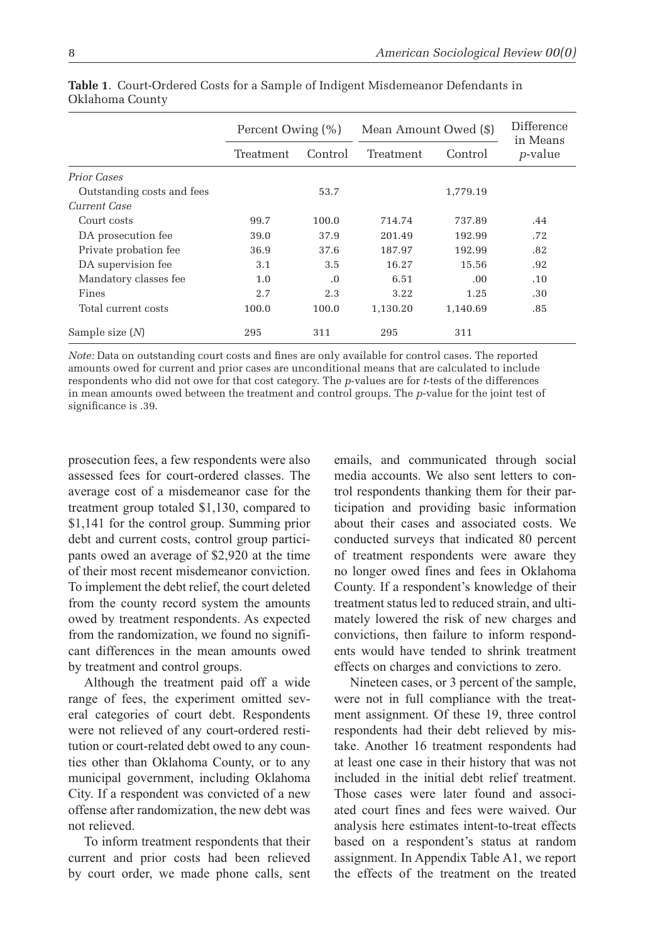|                            | Percent Owing (%) |          | Mean Amount Owed (\$) | Difference<br>in Means |                 |
|----------------------------|-------------------|----------|-----------------------|------------------------|-----------------|
|                            | Treatment         | Control  | Treatment             | Control                | <i>p</i> -value |
| Prior Cases                |                   |          |                       |                        |                 |
| Outstanding costs and fees |                   | 53.7     |                       | 1,779.19               |                 |
| Current Case               |                   |          |                       |                        |                 |
| Court costs                | 99.7              | 100.0    | 714.74                | 737.89                 | .44             |
| DA prosecution fee         | 39.0              | 37.9     | 201.49                | 192.99                 | .72             |
| Private probation fee      | 36.9              | 37.6     | 187.97                | 192.99                 | .82             |
| DA supervision fee         | 3.1               | 3.5      | 16.27                 | 15.56                  | .92             |
| Mandatory classes fee      | 1.0               | $\Omega$ | 6.51                  | .00.                   | .10             |
| Fines                      | 2.7               | 2.3      | 3.22                  | 1.25                   | .30             |
| Total current costs        | 100.0             | 100.0    | 1,130.20              | 1,140.69               | .85             |
| Sample size $(N)$          | 295               | 311      | 295                   | 311                    |                 |

**Table 1**. Court-Ordered Costs for a Sample of Indigent Misdemeanor Defendants in Oklahoma County

*Note:* Data on outstanding court costs and fines are only available for control cases. The reported amounts owed for current and prior cases are unconditional means that are calculated to include respondents who did not owe for that cost category. The *p*-values are for *t*-tests of the differences in mean amounts owed between the treatment and control groups. The *p*-value for the joint test of significance is .39.

prosecution fees, a few respondents were also assessed fees for court-ordered classes. The average cost of a misdemeanor case for the treatment group totaled \$1,130, compared to \$1,141 for the control group. Summing prior debt and current costs, control group participants owed an average of \$2,920 at the time of their most recent misdemeanor conviction. To implement the debt relief, the court deleted from the county record system the amounts owed by treatment respondents. As expected from the randomization, we found no significant differences in the mean amounts owed by treatment and control groups.

Although the treatment paid off a wide range of fees, the experiment omitted several categories of court debt. Respondents were not relieved of any court-ordered restitution or court-related debt owed to any counties other than Oklahoma County, or to any municipal government, including Oklahoma City. If a respondent was convicted of a new offense after randomization, the new debt was not relieved.

To inform treatment respondents that their current and prior costs had been relieved by court order, we made phone calls, sent emails, and communicated through social media accounts. We also sent letters to control respondents thanking them for their participation and providing basic information about their cases and associated costs. We conducted surveys that indicated 80 percent of treatment respondents were aware they no longer owed fines and fees in Oklahoma County. If a respondent's knowledge of their treatment status led to reduced strain, and ultimately lowered the risk of new charges and convictions, then failure to inform respondents would have tended to shrink treatment effects on charges and convictions to zero.

Nineteen cases, or 3 percent of the sample, were not in full compliance with the treatment assignment. Of these 19, three control respondents had their debt relieved by mistake. Another 16 treatment respondents had at least one case in their history that was not included in the initial debt relief treatment. Those cases were later found and associated court fines and fees were waived. Our analysis here estimates intent-to-treat effects based on a respondent's status at random assignment. In Appendix Table A1, we report the effects of the treatment on the treated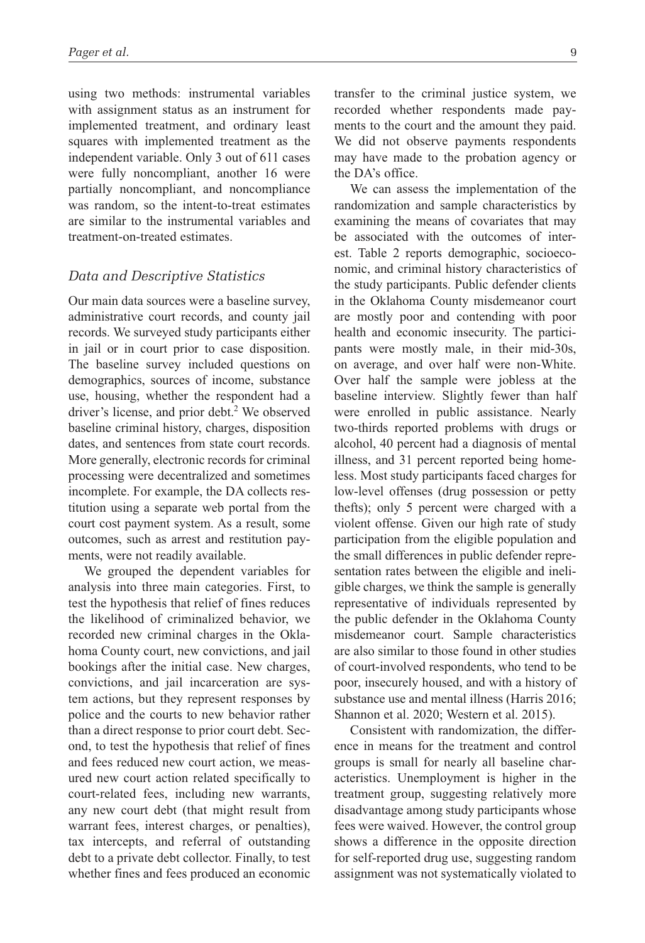using two methods: instrumental variables with assignment status as an instrument for implemented treatment, and ordinary least squares with implemented treatment as the independent variable. Only 3 out of 611 cases were fully noncompliant, another 16 were partially noncompliant, and noncompliance was random, so the intent-to-treat estimates are similar to the instrumental variables and treatment-on-treated estimates.

#### *Data and Descriptive Statistics*

Our main data sources were a baseline survey, administrative court records, and county jail records. We surveyed study participants either in jail or in court prior to case disposition. The baseline survey included questions on demographics, sources of income, substance use, housing, whether the respondent had a driver's license, and prior debt.<sup>2</sup> We observed baseline criminal history, charges, disposition dates, and sentences from state court records. More generally, electronic records for criminal processing were decentralized and sometimes incomplete. For example, the DA collects restitution using a separate web portal from the court cost payment system. As a result, some outcomes, such as arrest and restitution payments, were not readily available.

We grouped the dependent variables for analysis into three main categories. First, to test the hypothesis that relief of fines reduces the likelihood of criminalized behavior, we recorded new criminal charges in the Oklahoma County court, new convictions, and jail bookings after the initial case. New charges, convictions, and jail incarceration are system actions, but they represent responses by police and the courts to new behavior rather than a direct response to prior court debt. Second, to test the hypothesis that relief of fines and fees reduced new court action, we measured new court action related specifically to court-related fees, including new warrants, any new court debt (that might result from warrant fees, interest charges, or penalties), tax intercepts, and referral of outstanding debt to a private debt collector. Finally, to test whether fines and fees produced an economic transfer to the criminal justice system, we recorded whether respondents made payments to the court and the amount they paid. We did not observe payments respondents may have made to the probation agency or the DA's office.

We can assess the implementation of the randomization and sample characteristics by examining the means of covariates that may be associated with the outcomes of interest. Table 2 reports demographic, socioeconomic, and criminal history characteristics of the study participants. Public defender clients in the Oklahoma County misdemeanor court are mostly poor and contending with poor health and economic insecurity. The participants were mostly male, in their mid-30s, on average, and over half were non-White. Over half the sample were jobless at the baseline interview. Slightly fewer than half were enrolled in public assistance. Nearly two-thirds reported problems with drugs or alcohol, 40 percent had a diagnosis of mental illness, and 31 percent reported being homeless. Most study participants faced charges for low-level offenses (drug possession or petty thefts); only 5 percent were charged with a violent offense. Given our high rate of study participation from the eligible population and the small differences in public defender representation rates between the eligible and ineligible charges, we think the sample is generally representative of individuals represented by the public defender in the Oklahoma County misdemeanor court. Sample characteristics are also similar to those found in other studies of court-involved respondents, who tend to be poor, insecurely housed, and with a history of substance use and mental illness (Harris 2016; Shannon et al. 2020; Western et al. 2015).

Consistent with randomization, the difference in means for the treatment and control groups is small for nearly all baseline characteristics. Unemployment is higher in the treatment group, suggesting relatively more disadvantage among study participants whose fees were waived. However, the control group shows a difference in the opposite direction for self-reported drug use, suggesting random assignment was not systematically violated to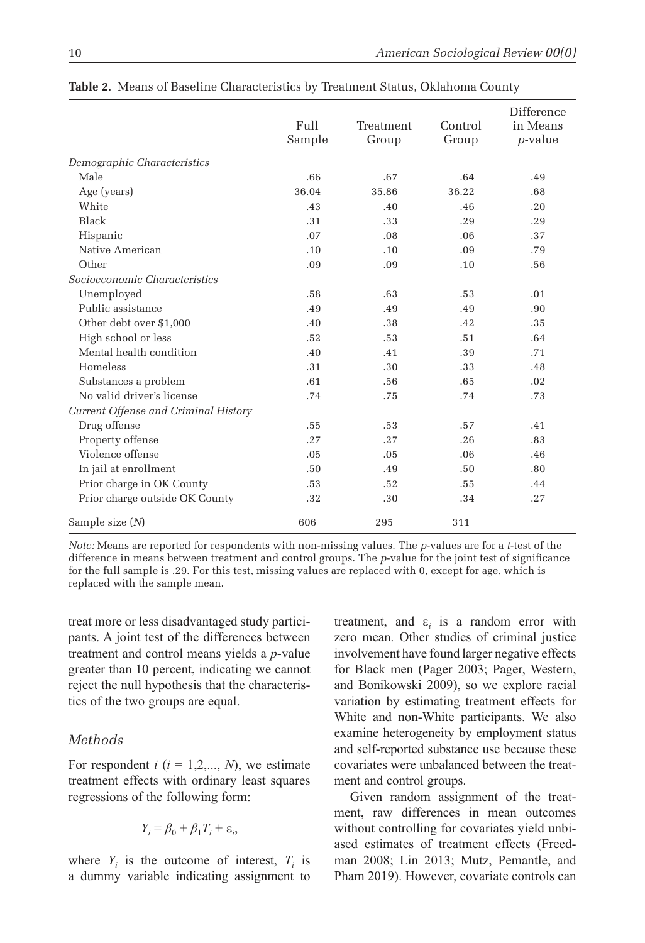|                                      | Full<br>Sample | Treatment<br>Group | Control<br>Group | Difference<br>in Means<br><i>p</i> -value |
|--------------------------------------|----------------|--------------------|------------------|-------------------------------------------|
| Demographic Characteristics          |                |                    |                  |                                           |
| Male                                 | .66            | .67                | .64              | .49                                       |
| Age (years)                          | 36.04          | 35.86              | 36.22            | .68                                       |
| White                                | .43            | .40                | .46              | .20                                       |
| <b>Black</b>                         | .31            | .33                | .29              | .29                                       |
| Hispanic                             | .07            | .08                | .06              | .37                                       |
| Native American                      | .10            | .10                | .09              | .79                                       |
| Other                                | .09            | .09                | .10              | .56                                       |
| Socioeconomic Characteristics        |                |                    |                  |                                           |
| Unemployed                           | .58            | .63                | .53              | .01                                       |
| Public assistance                    | .49            | .49                | .49              | .90                                       |
| Other debt over \$1,000              | .40            | .38                | .42              | .35                                       |
| High school or less                  | .52            | .53                | .51              | .64                                       |
| Mental health condition              | .40            | .41                | .39              | .71                                       |
| Homeless                             | .31            | .30                | .33              | .48                                       |
| Substances a problem                 | .61            | .56                | .65              | .02                                       |
| No valid driver's license            | .74            | .75                | .74              | .73                                       |
| Current Offense and Criminal History |                |                    |                  |                                           |
| Drug offense                         | .55            | .53                | .57              | .41                                       |
| Property offense                     | .27            | .27                | .26              | .83                                       |
| Violence offense                     | .05            | .05                | .06              | .46                                       |
| In jail at enrollment                | .50            | .49                | .50              | .80                                       |
| Prior charge in OK County            | .53            | .52                | .55              | .44                                       |
| Prior charge outside OK County       | .32            | .30                | .34              | .27                                       |
| Sample size $(N)$                    | 606            | 295                | 311              |                                           |

**Table 2**. Means of Baseline Characteristics by Treatment Status, Oklahoma County

*Note:* Means are reported for respondents with non-missing values. The *p*-values are for a *t*-test of the difference in means between treatment and control groups. The *p*-value for the joint test of significance for the full sample is .29. For this test, missing values are replaced with 0, except for age, which is replaced with the sample mean.

treat more or less disadvantaged study participants. A joint test of the differences between treatment and control means yields a *p*-value greater than 10 percent, indicating we cannot reject the null hypothesis that the characteristics of the two groups are equal.

## *Methods*

For respondent  $i$  ( $i = 1, 2, \dots, N$ ), we estimate treatment effects with ordinary least squares regressions of the following form:

$$
Y_i = \beta_0 + \beta_1 T_i + \varepsilon_i,
$$

where  $Y_i$  is the outcome of interest,  $T_i$  is a dummy variable indicating assignment to

treatment, and  $\varepsilon_i$  is a random error with zero mean. Other studies of criminal justice involvement have found larger negative effects for Black men (Pager 2003; Pager, Western, and Bonikowski 2009), so we explore racial variation by estimating treatment effects for White and non-White participants. We also examine heterogeneity by employment status and self-reported substance use because these covariates were unbalanced between the treatment and control groups.

Given random assignment of the treatment, raw differences in mean outcomes without controlling for covariates yield unbiased estimates of treatment effects (Freedman 2008; Lin 2013; Mutz, Pemantle, and Pham 2019). However, covariate controls can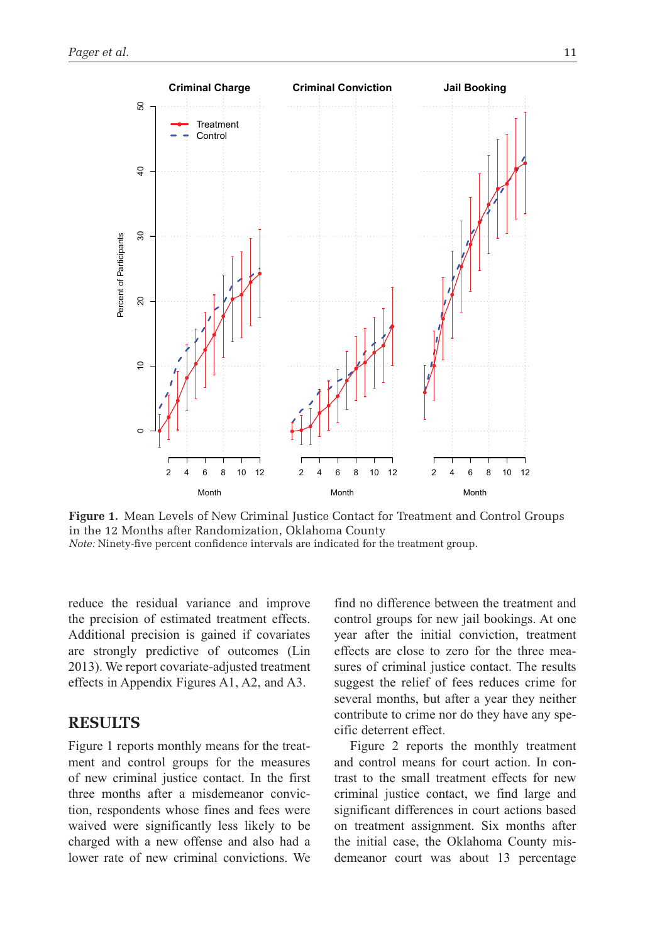

**Figure 1.** Mean Levels of New Criminal Justice Contact for Treatment and Control Groups in the 12 Months after Randomization, Oklahoma County *Note:* Ninety-five percent confidence intervals are indicated for the treatment group.

reduce the residual variance and improve the precision of estimated treatment effects. Additional precision is gained if covariates are strongly predictive of outcomes (Lin 2013). We report covariate-adjusted treatment effects in Appendix Figures A1, A2, and A3.

# **RESULTS**

Figure 1 reports monthly means for the treatment and control groups for the measures of new criminal justice contact. In the first three months after a misdemeanor conviction, respondents whose fines and fees were waived were significantly less likely to be charged with a new offense and also had a lower rate of new criminal convictions. We

find no difference between the treatment and control groups for new jail bookings. At one year after the initial conviction, treatment effects are close to zero for the three measures of criminal justice contact. The results suggest the relief of fees reduces crime for several months, but after a year they neither contribute to crime nor do they have any specific deterrent effect.

Figure 2 reports the monthly treatment and control means for court action. In contrast to the small treatment effects for new criminal justice contact, we find large and significant differences in court actions based on treatment assignment. Six months after the initial case, the Oklahoma County misdemeanor court was about 13 percentage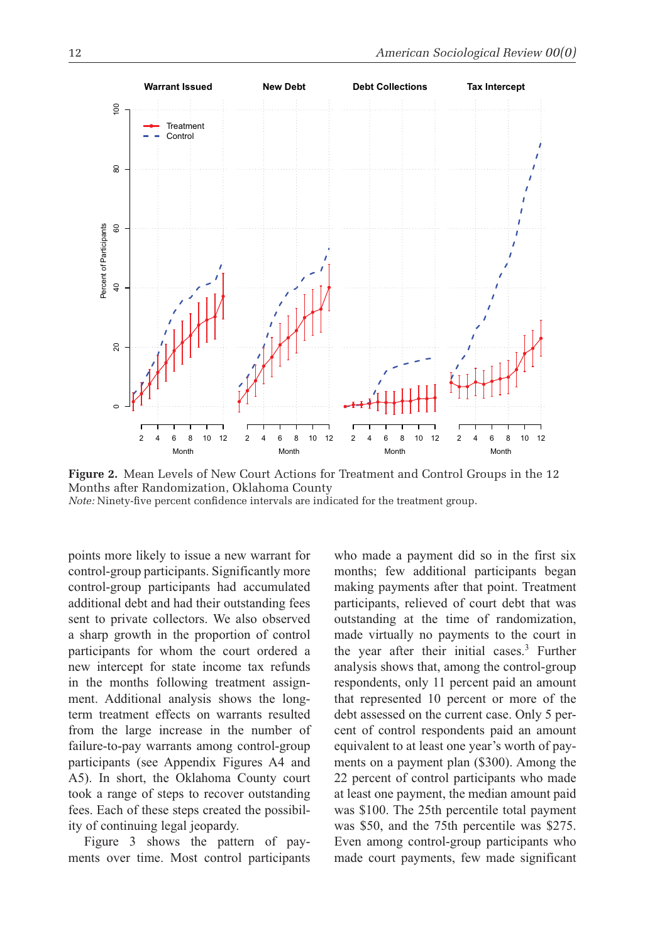

**Figure 2.** Mean Levels of New Court Actions for Treatment and Control Groups in the 12 Months after Randomization, Oklahoma County *Note:* Ninety-five percent confidence intervals are indicated for the treatment group.

points more likely to issue a new warrant for control-group participants. Significantly more control-group participants had accumulated additional debt and had their outstanding fees sent to private collectors. We also observed a sharp growth in the proportion of control participants for whom the court ordered a new intercept for state income tax refunds in the months following treatment assignment. Additional analysis shows the longterm treatment effects on warrants resulted from the large increase in the number of failure-to-pay warrants among control-group participants (see Appendix Figures A4 and A5). In short, the Oklahoma County court took a range of steps to recover outstanding fees. Each of these steps created the possibility of continuing legal jeopardy.

Figure 3 shows the pattern of payments over time. Most control participants who made a payment did so in the first six months; few additional participants began making payments after that point. Treatment participants, relieved of court debt that was outstanding at the time of randomization, made virtually no payments to the court in the year after their initial cases.<sup>3</sup> Further analysis shows that, among the control-group respondents, only 11 percent paid an amount that represented 10 percent or more of the debt assessed on the current case. Only 5 percent of control respondents paid an amount equivalent to at least one year's worth of payments on a payment plan (\$300). Among the 22 percent of control participants who made at least one payment, the median amount paid was \$100. The 25th percentile total payment was \$50, and the 75th percentile was \$275. Even among control-group participants who made court payments, few made significant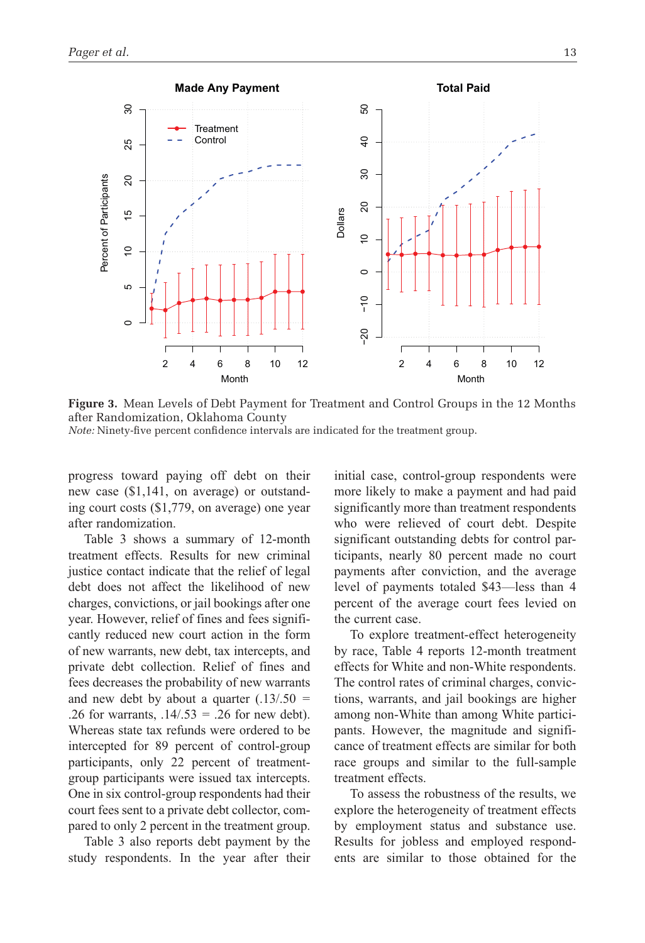

**Figure 3.** Mean Levels of Debt Payment for Treatment and Control Groups in the 12 Months after Randomization, Oklahoma County *Note:* Ninety-five percent confidence intervals are indicated for the treatment group.

progress toward paying off debt on their new case (\$1,141, on average) or outstanding court costs (\$1,779, on average) one year after randomization.

Table 3 shows a summary of 12-month treatment effects. Results for new criminal justice contact indicate that the relief of legal debt does not affect the likelihood of new charges, convictions, or jail bookings after one year. However, relief of fines and fees significantly reduced new court action in the form of new warrants, new debt, tax intercepts, and private debt collection. Relief of fines and fees decreases the probability of new warrants and new debt by about a quarter (.13/.50 *=* .26 for warrants, .14/.53 *=* .26 for new debt). Whereas state tax refunds were ordered to be intercepted for 89 percent of control-group participants, only 22 percent of treatmentgroup participants were issued tax intercepts. One in six control-group respondents had their court fees sent to a private debt collector, compared to only 2 percent in the treatment group.

Table 3 also reports debt payment by the study respondents. In the year after their initial case, control-group respondents were more likely to make a payment and had paid significantly more than treatment respondents who were relieved of court debt. Despite significant outstanding debts for control participants, nearly 80 percent made no court payments after conviction, and the average level of payments totaled \$43—less than 4 percent of the average court fees levied on the current case.

To explore treatment-effect heterogeneity by race, Table 4 reports 12-month treatment effects for White and non-White respondents. The control rates of criminal charges, convictions, warrants, and jail bookings are higher among non-White than among White participants. However, the magnitude and significance of treatment effects are similar for both race groups and similar to the full-sample treatment effects.

To assess the robustness of the results, we explore the heterogeneity of treatment effects by employment status and substance use. Results for jobless and employed respondents are similar to those obtained for the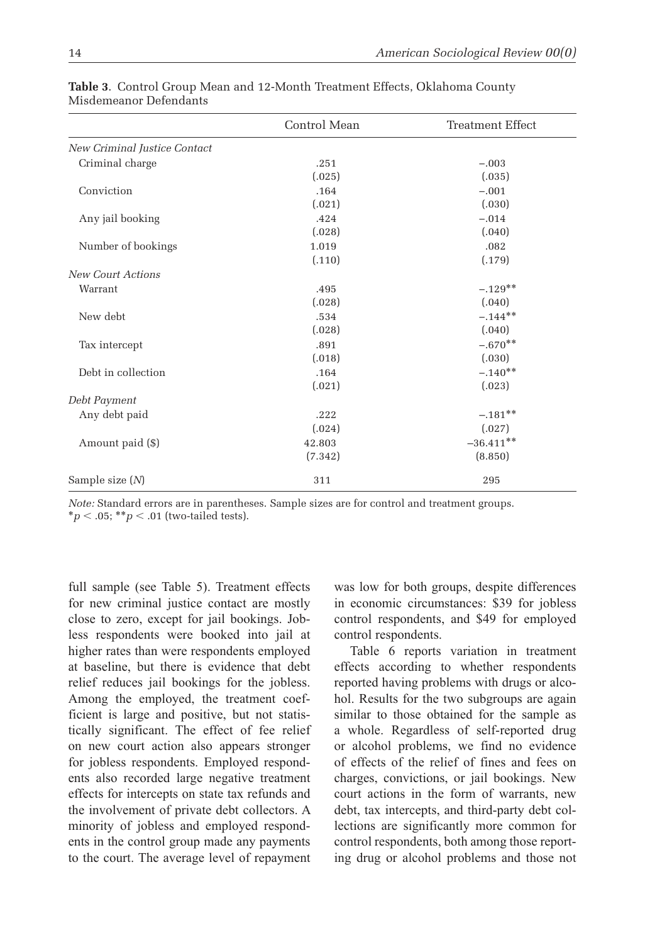|                              | Control Mean | <b>Treatment Effect</b> |
|------------------------------|--------------|-------------------------|
| New Criminal Justice Contact |              |                         |
| Criminal charge              | .251         | $-.003$                 |
|                              | (.025)       | (.035)                  |
| Conviction                   | .164         | $-.001$                 |
|                              | (.021)       | (.030)                  |
| Any jail booking             | .424         | $-.014$                 |
|                              | (.028)       | (.040)                  |
| Number of bookings           | 1.019        | .082                    |
|                              | (.110)       | (.179)                  |
| <b>New Court Actions</b>     |              |                         |
| Warrant                      | .495         | $-.129**$               |
|                              | (.028)       | (.040)                  |
| New debt                     | .534         | $-.144**$               |
|                              | (.028)       | (.040)                  |
| Tax intercept                | .891         | $-.670**$               |
|                              | (.018)       | (.030)                  |
| Debt in collection           | .164         | $-.140**$               |
|                              | (.021)       | (.023)                  |
| Debt Payment                 |              |                         |
| Any debt paid                | .222         | $-.181**$               |
|                              | (.024)       | (.027)                  |
| Amount paid (\$)             | 42.803       | $-36.411**$             |
|                              | (7.342)      | (8.850)                 |
| Sample size $(N)$            | 311          | 295                     |

**Table 3**. Control Group Mean and 12-Month Treatment Effects, Oklahoma County Misdemeanor Defendants

full sample (see Table 5). Treatment effects for new criminal justice contact are mostly close to zero, except for jail bookings. Jobless respondents were booked into jail at higher rates than were respondents employed at baseline, but there is evidence that debt relief reduces jail bookings for the jobless. Among the employed, the treatment coefficient is large and positive, but not statistically significant. The effect of fee relief on new court action also appears stronger for jobless respondents. Employed respondents also recorded large negative treatment effects for intercepts on state tax refunds and the involvement of private debt collectors. A minority of jobless and employed respondents in the control group made any payments to the court. The average level of repayment

was low for both groups, despite differences in economic circumstances: \$39 for jobless control respondents, and \$49 for employed control respondents.

Table 6 reports variation in treatment effects according to whether respondents reported having problems with drugs or alcohol. Results for the two subgroups are again similar to those obtained for the sample as a whole. Regardless of self-reported drug or alcohol problems, we find no evidence of effects of the relief of fines and fees on charges, convictions, or jail bookings. New court actions in the form of warrants, new debt, tax intercepts, and third-party debt collections are significantly more common for control respondents, both among those reporting drug or alcohol problems and those not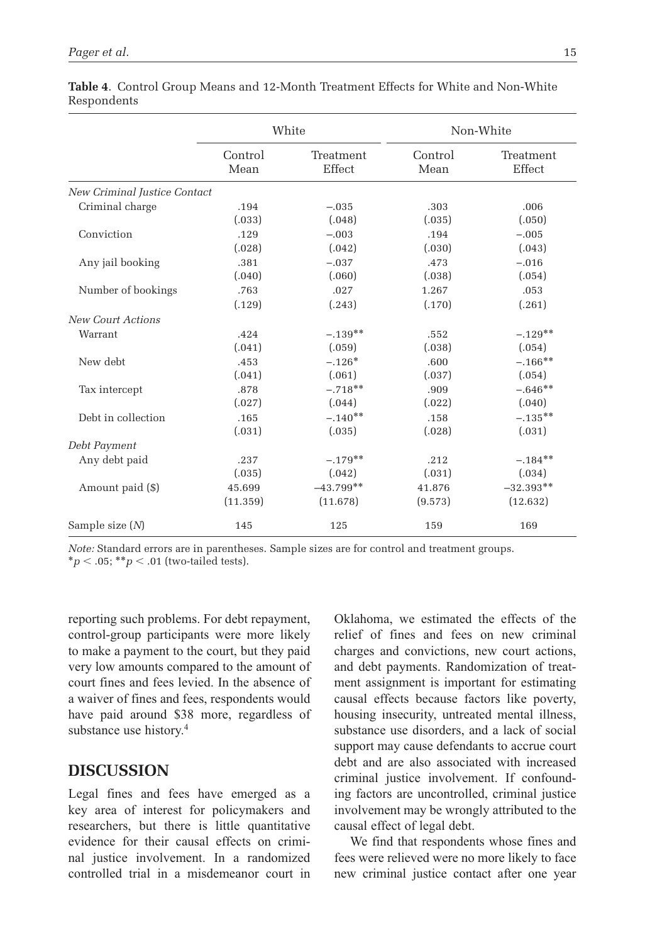|                              |                                                           | White       | Non-White |                     |  |
|------------------------------|-----------------------------------------------------------|-------------|-----------|---------------------|--|
|                              | Control<br>Treatment<br>Control<br>Effect<br>Mean<br>Mean |             |           | Treatment<br>Effect |  |
| New Criminal Justice Contact |                                                           |             |           |                     |  |
| Criminal charge              | .194                                                      | $-.035$     | .303      | .006                |  |
|                              | (.033)                                                    | (.048)      | (.035)    | (.050)              |  |
| Conviction                   | .129                                                      | $-.003$     | .194      | $-.005$             |  |
|                              | (.028)                                                    | (.042)      | (.030)    | (.043)              |  |
| Any jail booking             | .381                                                      | $-.037$     | .473      | $-.016$             |  |
|                              | (.040)                                                    | (.060)      | (.038)    | (.054)              |  |
| Number of bookings           | .763                                                      | .027        | 1.267     | .053                |  |
|                              | (.129)                                                    | (.243)      | (.170)    | (.261)              |  |
| <b>New Court Actions</b>     |                                                           |             |           |                     |  |
| Warrant                      | .424                                                      | $-.139**$   | .552      | $-.129**$           |  |
|                              | (.041)                                                    | (.059)      | (.038)    | (.054)              |  |
| New debt                     | .453                                                      | $-.126*$    | .600      | $-.166**$           |  |
|                              | (.041)                                                    | (.061)      | (.037)    | (.054)              |  |
| Tax intercept                | .878                                                      | $-.718**$   | .909      | $-.646**$           |  |
|                              | (.027)                                                    | (.044)      | (.022)    | (.040)              |  |
| Debt in collection           | .165                                                      | $-.140**$   | .158      | $-.135**$           |  |
|                              | (.031)                                                    | (.035)      | (.028)    | (.031)              |  |
| Debt Payment                 |                                                           |             |           |                     |  |
| Any debt paid                | .237                                                      | $-.179**$   | .212      | $-.184**$           |  |
|                              | (.035)                                                    | (.042)      | (.031)    | (.034)              |  |
| Amount paid (\$)             | 45.699                                                    | $-43.799**$ | 41.876    | $-32.393**$         |  |
|                              | (11.359)                                                  | (11.678)    | (9.573)   | (12.632)            |  |
| Sample size $(N)$            | 145                                                       | 125         | 159       | 169                 |  |

|             | <b>Table 4.</b> Control Group Means and 12-Month Treatment Effects for White and Non-White |  |  |  |  |  |
|-------------|--------------------------------------------------------------------------------------------|--|--|--|--|--|
| Respondents |                                                                                            |  |  |  |  |  |

reporting such problems. For debt repayment, control-group participants were more likely to make a payment to the court, but they paid very low amounts compared to the amount of court fines and fees levied. In the absence of a waiver of fines and fees, respondents would have paid around \$38 more, regardless of substance use history.<sup>4</sup>

## **DISCUSSION**

Legal fines and fees have emerged as a key area of interest for policymakers and researchers, but there is little quantitative evidence for their causal effects on criminal justice involvement. In a randomized controlled trial in a misdemeanor court in Oklahoma, we estimated the effects of the relief of fines and fees on new criminal charges and convictions, new court actions, and debt payments. Randomization of treatment assignment is important for estimating causal effects because factors like poverty, housing insecurity, untreated mental illness, substance use disorders, and a lack of social support may cause defendants to accrue court debt and are also associated with increased criminal justice involvement. If confounding factors are uncontrolled, criminal justice involvement may be wrongly attributed to the causal effect of legal debt.

We find that respondents whose fines and fees were relieved were no more likely to face new criminal justice contact after one year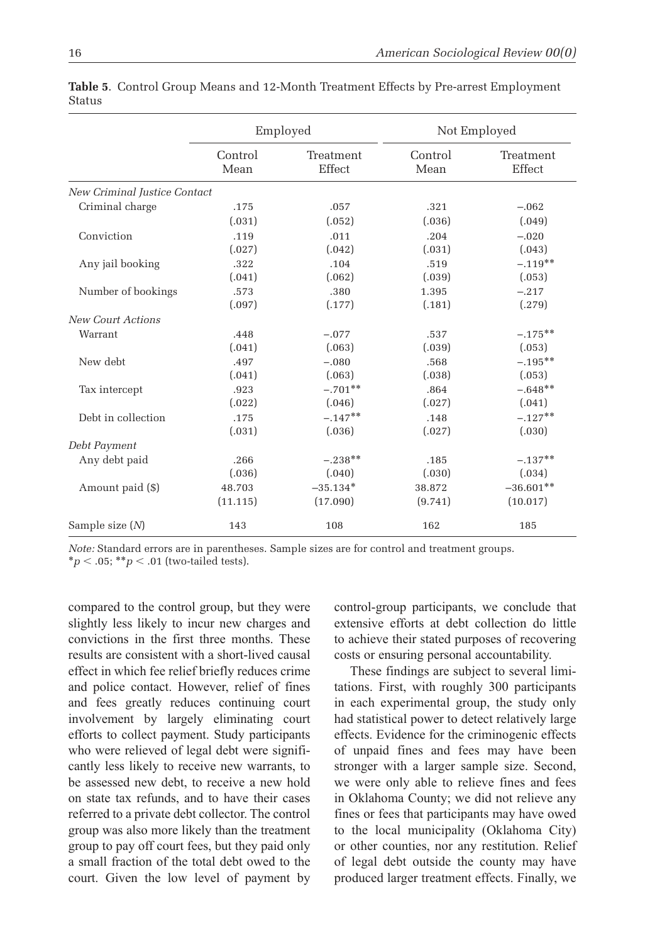|                              | Employed                               |            | Not Employed    |                     |  |
|------------------------------|----------------------------------------|------------|-----------------|---------------------|--|
|                              | Control<br>Treatment<br>Effect<br>Mean |            | Control<br>Mean | Treatment<br>Effect |  |
| New Criminal Justice Contact |                                        |            |                 |                     |  |
| Criminal charge              | .175                                   | .057       | .321            | $-.062$             |  |
|                              | (.031)                                 | (.052)     | (.036)          | (.049)              |  |
| Conviction                   | .119                                   | .011       | .204            | $-.020$             |  |
|                              | (.027)                                 | (.042)     | (.031)          | (.043)              |  |
| Any jail booking             | .322                                   | .104       | .519            | $-.119**$           |  |
|                              | (.041)                                 | (.062)     | (.039)          | (.053)              |  |
| Number of bookings           | .573                                   | .380       | 1.395           | $-.217$             |  |
|                              | (.097)                                 | (.177)     | (.181)          | (.279)              |  |
| <b>New Court Actions</b>     |                                        |            |                 |                     |  |
| Warrant                      | .448                                   | $-.077$    | .537            | $-.175**$           |  |
|                              | (.041)                                 | (.063)     | (.039)          | (.053)              |  |
| New debt                     | .497                                   | $-.080$    | .568            | $-.195***$          |  |
|                              | (.041)                                 | (.063)     | (.038)          | (.053)              |  |
| Tax intercept                | .923                                   | $-.701**$  | .864            | $-.648**$           |  |
|                              | (.022)                                 | (.046)     | (.027)          | (.041)              |  |
| Debt in collection           | .175                                   | $-.147**$  | .148            | $-.127**$           |  |
|                              | (.031)                                 | (.036)     | (.027)          | (.030)              |  |
| Debt Payment                 |                                        |            |                 |                     |  |
| Any debt paid                | .266                                   | $-.238**$  | .185            | $-.137**$           |  |
|                              | (.036)                                 | (.040)     | (.030)          | (.034)              |  |
| Amount paid (\$)             | 48.703                                 | $-35.134*$ | 38.872          | $-36.601**$         |  |
|                              | (11.115)                               | (17.090)   | (9.741)         | (10.017)            |  |
| Sample size $(N)$            | 143                                    | 108        | 162             | 185                 |  |

**Table 5**. Control Group Means and 12-Month Treatment Effects by Pre-arrest Employment Status

compared to the control group, but they were slightly less likely to incur new charges and convictions in the first three months. These results are consistent with a short-lived causal effect in which fee relief briefly reduces crime and police contact. However, relief of fines and fees greatly reduces continuing court involvement by largely eliminating court efforts to collect payment. Study participants who were relieved of legal debt were significantly less likely to receive new warrants, to be assessed new debt, to receive a new hold on state tax refunds, and to have their cases referred to a private debt collector. The control group was also more likely than the treatment group to pay off court fees, but they paid only a small fraction of the total debt owed to the court. Given the low level of payment by control-group participants, we conclude that extensive efforts at debt collection do little to achieve their stated purposes of recovering costs or ensuring personal accountability.

These findings are subject to several limitations. First, with roughly 300 participants in each experimental group, the study only had statistical power to detect relatively large effects. Evidence for the criminogenic effects of unpaid fines and fees may have been stronger with a larger sample size. Second, we were only able to relieve fines and fees in Oklahoma County; we did not relieve any fines or fees that participants may have owed to the local municipality (Oklahoma City) or other counties, nor any restitution. Relief of legal debt outside the county may have produced larger treatment effects. Finally, we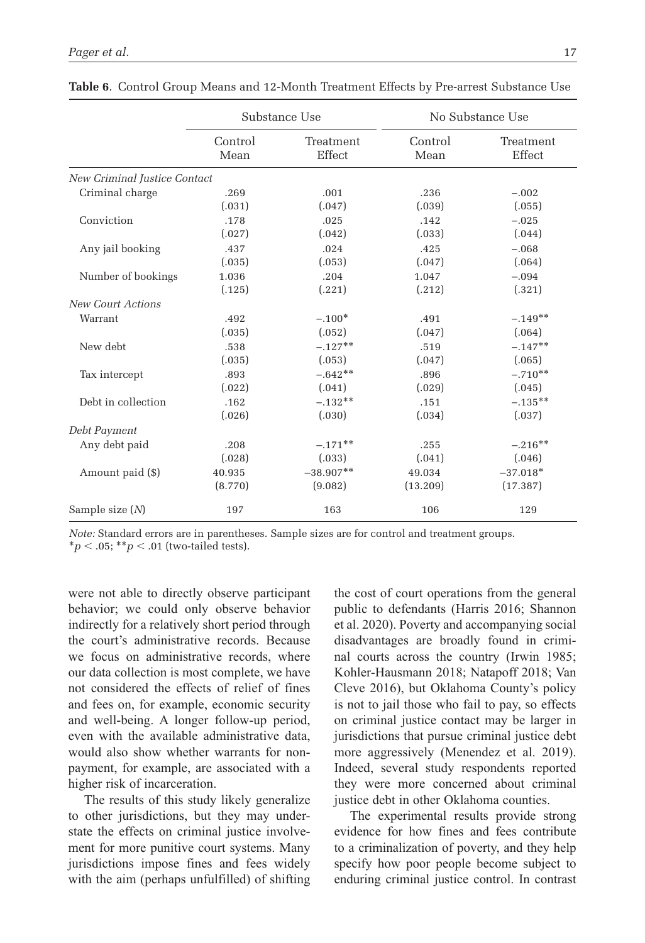|                              |         | Substance Use | No Substance Use |            |  |
|------------------------------|---------|---------------|------------------|------------|--|
|                              | Control | Treatment     | Control          |            |  |
|                              | Mean    | Effect        | Mean             |            |  |
| New Criminal Justice Contact |         |               |                  |            |  |
| Criminal charge              | .269    | .001          | .236             | $-.002$    |  |
|                              | (.031)  | (.047)        | (.039)           | (.055)     |  |
| Conviction                   | .178    | .025          | .142             | $-.025$    |  |
|                              | (.027)  | (.042)        | (.033)           | (.044)     |  |
| Any jail booking             | .437    | .024          | .425             | $-.068$    |  |
|                              | (.035)  | (.053)        | (.047)           | (.064)     |  |
| Number of bookings           | 1.036   | .204          | 1.047            | $-.094$    |  |
|                              | (.125)  | (.221)        | (.212)           | (.321)     |  |
| <b>New Court Actions</b>     |         |               |                  |            |  |
| Warrant                      | .492    | $-.100*$      | .491             | $-.149**$  |  |
|                              | (.035)  | (.052)        | (.047)           | (.064)     |  |
| New debt                     | .538    | $-.127**$     | .519             | $-.147**$  |  |
|                              | (.035)  | (.053)        | (.047)           | (.065)     |  |
| Tax intercept                | .893    | $-.642**$     | .896             | $-.710**$  |  |
|                              | (.022)  | (.041)        | (.029)           | (.045)     |  |
| Debt in collection           | .162    | $-.132**$     | .151             | $-.135**$  |  |
|                              | (.026)  | (.030)        | (.034)           | (.037)     |  |
| Debt Payment                 |         |               |                  |            |  |
| Any debt paid                | .208    | $-.171**$     | .255             | $-.216**$  |  |
|                              | (.028)  | (.033)        | (.041)           | (.046)     |  |
| Amount paid (\$)             | 40.935  | $-38.907**$   | 49.034           | $-37.018*$ |  |
|                              | (8.770) | (9.082)       | (13.209)         | (17.387)   |  |
| Sample size $(N)$            | 197     | 163           | 106              | 129        |  |

**Table 6**. Control Group Means and 12-Month Treatment Effects by Pre-arrest Substance Use

were not able to directly observe participant behavior; we could only observe behavior indirectly for a relatively short period through the court's administrative records. Because we focus on administrative records, where our data collection is most complete, we have not considered the effects of relief of fines and fees on, for example, economic security and well-being. A longer follow-up period, even with the available administrative data, would also show whether warrants for nonpayment, for example, are associated with a higher risk of incarceration.

The results of this study likely generalize to other jurisdictions, but they may understate the effects on criminal justice involvement for more punitive court systems. Many jurisdictions impose fines and fees widely with the aim (perhaps unfulfilled) of shifting the cost of court operations from the general public to defendants (Harris 2016; Shannon et al. 2020). Poverty and accompanying social disadvantages are broadly found in criminal courts across the country (Irwin 1985; Kohler-Hausmann 2018; Natapoff 2018; Van Cleve 2016), but Oklahoma County's policy is not to jail those who fail to pay, so effects on criminal justice contact may be larger in jurisdictions that pursue criminal justice debt more aggressively (Menendez et al. 2019). Indeed, several study respondents reported they were more concerned about criminal justice debt in other Oklahoma counties.

The experimental results provide strong evidence for how fines and fees contribute to a criminalization of poverty, and they help specify how poor people become subject to enduring criminal justice control. In contrast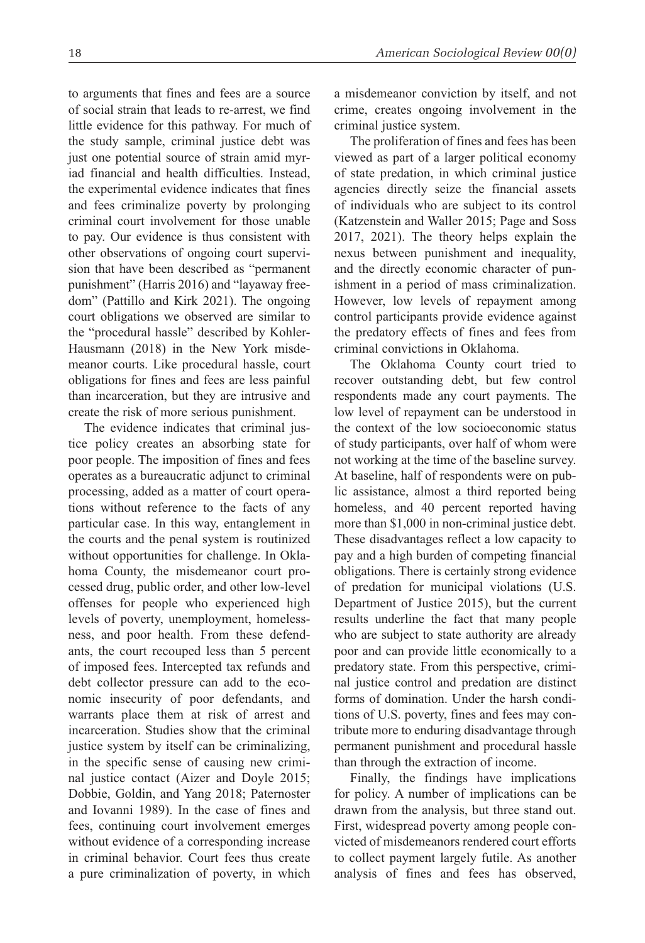to arguments that fines and fees are a source of social strain that leads to re-arrest, we find little evidence for this pathway. For much of the study sample, criminal justice debt was just one potential source of strain amid myriad financial and health difficulties. Instead, the experimental evidence indicates that fines and fees criminalize poverty by prolonging criminal court involvement for those unable to pay. Our evidence is thus consistent with other observations of ongoing court supervision that have been described as "permanent punishment" (Harris 2016) and "layaway freedom" (Pattillo and Kirk 2021). The ongoing court obligations we observed are similar to the "procedural hassle" described by Kohler-Hausmann (2018) in the New York misdemeanor courts. Like procedural hassle, court obligations for fines and fees are less painful than incarceration, but they are intrusive and create the risk of more serious punishment.

The evidence indicates that criminal justice policy creates an absorbing state for poor people. The imposition of fines and fees operates as a bureaucratic adjunct to criminal processing, added as a matter of court operations without reference to the facts of any particular case. In this way, entanglement in the courts and the penal system is routinized without opportunities for challenge. In Oklahoma County, the misdemeanor court processed drug, public order, and other low-level offenses for people who experienced high levels of poverty, unemployment, homelessness, and poor health. From these defendants, the court recouped less than 5 percent of imposed fees. Intercepted tax refunds and debt collector pressure can add to the economic insecurity of poor defendants, and warrants place them at risk of arrest and incarceration. Studies show that the criminal justice system by itself can be criminalizing, in the specific sense of causing new criminal justice contact (Aizer and Doyle 2015; Dobbie, Goldin, and Yang 2018; Paternoster and Iovanni 1989). In the case of fines and fees, continuing court involvement emerges without evidence of a corresponding increase in criminal behavior. Court fees thus create a pure criminalization of poverty, in which a misdemeanor conviction by itself, and not crime, creates ongoing involvement in the criminal justice system.

The proliferation of fines and fees has been viewed as part of a larger political economy of state predation, in which criminal justice agencies directly seize the financial assets of individuals who are subject to its control (Katzenstein and Waller 2015; Page and Soss 2017, 2021). The theory helps explain the nexus between punishment and inequality, and the directly economic character of punishment in a period of mass criminalization. However, low levels of repayment among control participants provide evidence against the predatory effects of fines and fees from criminal convictions in Oklahoma.

The Oklahoma County court tried to recover outstanding debt, but few control respondents made any court payments. The low level of repayment can be understood in the context of the low socioeconomic status of study participants, over half of whom were not working at the time of the baseline survey. At baseline, half of respondents were on public assistance, almost a third reported being homeless, and 40 percent reported having more than \$1,000 in non-criminal justice debt. These disadvantages reflect a low capacity to pay and a high burden of competing financial obligations. There is certainly strong evidence of predation for municipal violations (U.S. Department of Justice 2015), but the current results underline the fact that many people who are subject to state authority are already poor and can provide little economically to a predatory state. From this perspective, criminal justice control and predation are distinct forms of domination. Under the harsh conditions of U.S. poverty, fines and fees may contribute more to enduring disadvantage through permanent punishment and procedural hassle than through the extraction of income.

Finally, the findings have implications for policy. A number of implications can be drawn from the analysis, but three stand out. First, widespread poverty among people convicted of misdemeanors rendered court efforts to collect payment largely futile. As another analysis of fines and fees has observed,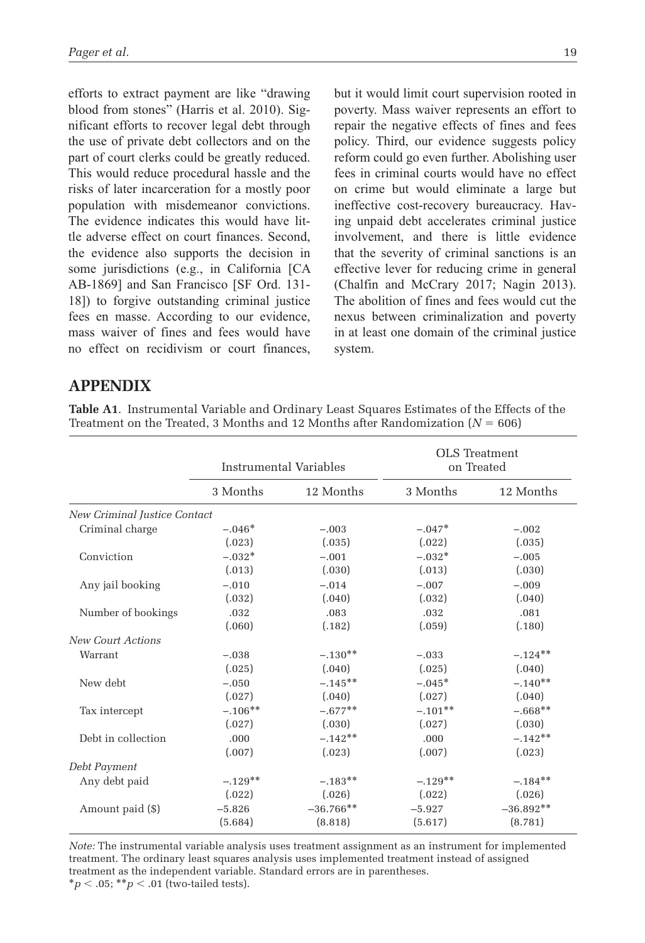efforts to extract payment are like "drawing blood from stones" (Harris et al. 2010). Significant efforts to recover legal debt through the use of private debt collectors and on the part of court clerks could be greatly reduced. This would reduce procedural hassle and the risks of later incarceration for a mostly poor population with misdemeanor convictions. The evidence indicates this would have little adverse effect on court finances. Second, the evidence also supports the decision in some jurisdictions (e.g., in California [CA AB-1869] and San Francisco [SF Ord. 131- 18]) to forgive outstanding criminal justice fees en masse. According to our evidence, mass waiver of fines and fees would have no effect on recidivism or court finances, but it would limit court supervision rooted in poverty. Mass waiver represents an effort to repair the negative effects of fines and fees policy. Third, our evidence suggests policy reform could go even further. Abolishing user fees in criminal courts would have no effect on crime but would eliminate a large but ineffective cost-recovery bureaucracy. Having unpaid debt accelerates criminal justice involvement, and there is little evidence that the severity of criminal sanctions is an effective lever for reducing crime in general (Chalfin and McCrary 2017; Nagin 2013). The abolition of fines and fees would cut the nexus between criminalization and poverty in at least one domain of the criminal justice system.

## **APPENDIX**

**Table A1**. Instrumental Variable and Ordinary Least Squares Estimates of the Effects of the Treatment on the Treated, 3 Months and 12 Months after Randomization  $(N = 606)$ 

|                              | Instrumental Variables |             | OLS Treatment | on Treated  |
|------------------------------|------------------------|-------------|---------------|-------------|
|                              | 3 Months               | 12 Months   | 3 Months      | 12 Months   |
| New Criminal Justice Contact |                        |             |               |             |
| Criminal charge              | $-.046*$               | $-.003$     | $-.047*$      | $-.002$     |
|                              | (.023)                 | (.035)      | (.022)        | (.035)      |
| Conviction                   | $-.032*$               | $-.001$     | $-.032*$      | $-.005$     |
|                              | (.013)                 | (.030)      | (.013)        | (.030)      |
| Any jail booking             | $-.010$                | $-.014$     | $-.007$       | $-.009$     |
|                              | (.032)                 | (.040)      | (.032)        | (.040)      |
| Number of bookings           | .032                   | .083        | .032          | .081        |
|                              | (.060)                 | (.182)      | (.059)        | (.180)      |
| <b>New Court Actions</b>     |                        |             |               |             |
| Warrant                      | $-.038$                | $-.130**$   | $-.033$       | $-.124**$   |
|                              | (.025)                 | (.040)      | (.025)        | (.040)      |
| New debt                     | $-.050$                | $-.145***$  | $-.045*$      | $-.140**$   |
|                              | (.027)                 | (.040)      | (.027)        | (.040)      |
| Tax intercept                | $-.106**$              | $-.677**$   | $-.101**$     | $-.668**$   |
|                              | (.027)                 | (.030)      | (.027)        | (.030)      |
| Debt in collection           | .000                   | $-.142**$   | .000          | $-.142**$   |
|                              | (.007)                 | (.023)      | (.007)        | (.023)      |
| Debt Payment                 |                        |             |               |             |
| Any debt paid                | $-.129**$              | $-.183**$   | $-.129**$     | $-.184**$   |
|                              | (.022)                 | (.026)      | (.022)        | (.026)      |
| Amount paid (\$)             | $-5.826$               | $-36.766**$ | $-5.927$      | $-36.892**$ |
|                              | (5.684)                | (8.818)     | (5.617)       | (8.781)     |

*Note:* The instrumental variable analysis uses treatment assignment as an instrument for implemented treatment. The ordinary least squares analysis uses implemented treatment instead of assigned treatment as the independent variable. Standard errors are in parentheses.

 $*_{p}$  < .05;  $*_{p}$  < .01 (two-tailed tests).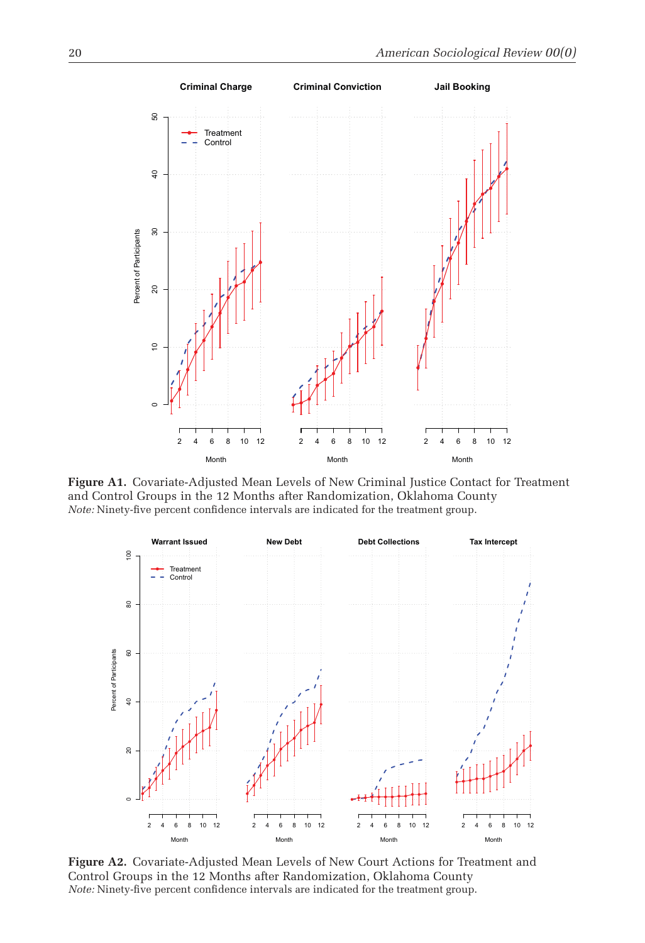

**Figure A1.** Covariate-Adjusted Mean Levels of New Criminal Justice Contact for Treatment and Control Groups in the 12 Months after Randomization, Oklahoma County *Note:* Ninety-five percent confidence intervals are indicated for the treatment group.



**Figure A2.** Covariate-Adjusted Mean Levels of New Court Actions for Treatment and Control Groups in the 12 Months after Randomization, Oklahoma County *Note:* Ninety-five percent confidence intervals are indicated for the treatment group.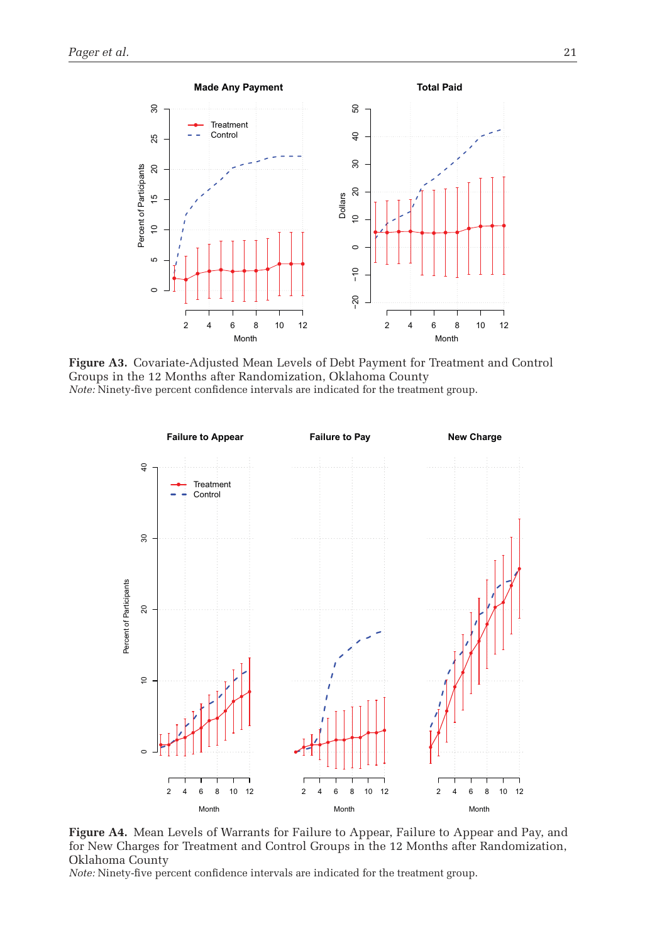

**Figure A3.** Covariate-Adjusted Mean Levels of Debt Payment for Treatment and Control Groups in the 12 Months after Randomization, Oklahoma County *Note:* Ninety-five percent confidence intervals are indicated for the treatment group.



**Figure A4.** Mean Levels of Warrants for Failure to Appear, Failure to Appear and Pay, and for New Charges for Treatment and Control Groups in the 12 Months after Randomization, Oklahoma County

*Note:* Ninety-five percent confidence intervals are indicated for the treatment group.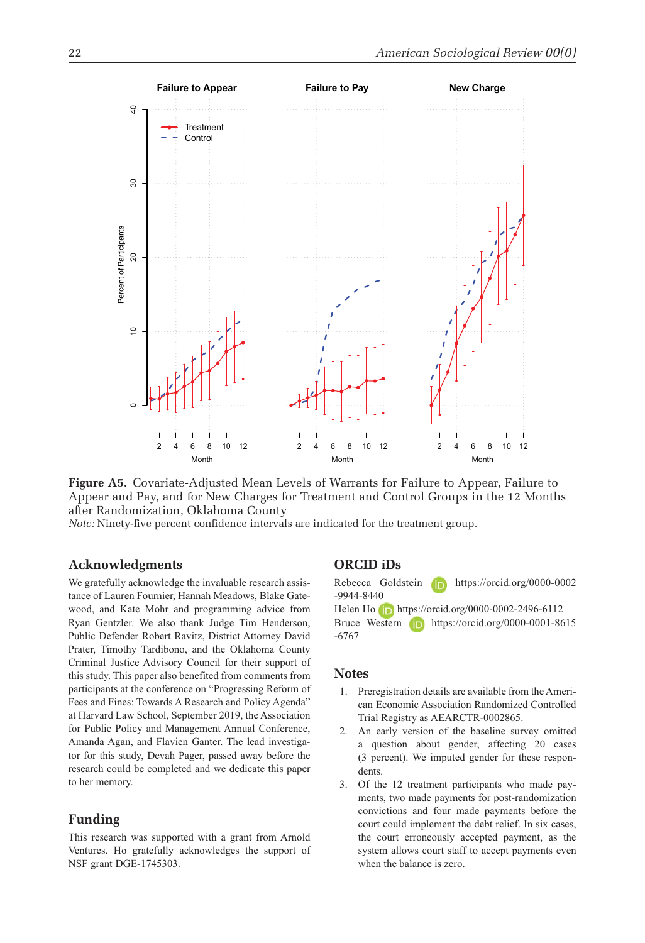

**Figure A5.** Covariate-Adjusted Mean Levels of Warrants for Failure to Appear, Failure to Appear and Pay, and for New Charges for Treatment and Control Groups in the 12 Months after Randomization, Oklahoma County

*Note:* Ninety-five percent confidence intervals are indicated for the treatment group.

#### **Acknowledgments**

We gratefully acknowledge the invaluable research assistance of Lauren Fournier, Hannah Meadows, Blake Gatewood, and Kate Mohr and programming advice from Ryan Gentzler. We also thank Judge Tim Henderson, Public Defender Robert Ravitz, District Attorney David Prater, Timothy Tardibono, and the Oklahoma County Criminal Justice Advisory Council for their support of this study. This paper also benefited from comments from participants at the conference on "Progressing Reform of Fees and Fines: Towards A Research and Policy Agenda" at Harvard Law School, September 2019, the Association for Public Policy and Management Annual Conference, Amanda Agan, and Flavien Ganter. The lead investigator for this study, Devah Pager, passed away before the research could be completed and we dedicate this paper to her memory.

#### **Funding**

This research was supported with a grant from Arnold Ventures. Ho gratefully acknowledges the support of NSF grant DGE-1745303.

### **ORCID iDs**

Rebecca Goldstein https://orcid.org/0000-0002 -9944-8440 Helen Ho https://orcid.org/0000-0002-2496-6112 Bruce Western **https://orcid.org/0000-0001-8615** -6767

#### **Notes**

- 1. Preregistration details are available from the American Economic Association Randomized Controlled Trial Registry as AEARCTR-0002865.
- 2. An early version of the baseline survey omitted a question about gender, affecting 20 cases (3 percent). We imputed gender for these respondents.
- 3. Of the 12 treatment participants who made payments, two made payments for post-randomization convictions and four made payments before the court could implement the debt relief. In six cases, the court erroneously accepted payment, as the system allows court staff to accept payments even when the balance is zero.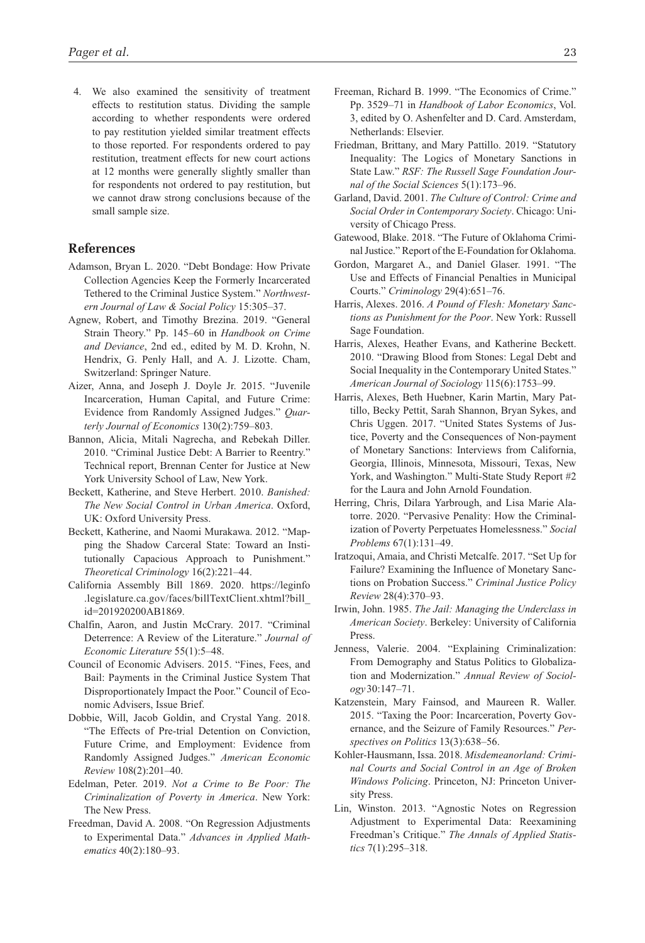4. We also examined the sensitivity of treatment effects to restitution status. Dividing the sample according to whether respondents were ordered to pay restitution yielded similar treatment effects to those reported. For respondents ordered to pay restitution, treatment effects for new court actions at 12 months were generally slightly smaller than for respondents not ordered to pay restitution, but we cannot draw strong conclusions because of the small sample size.

#### **References**

- Adamson, Bryan L. 2020. "Debt Bondage: How Private Collection Agencies Keep the Formerly Incarcerated Tethered to the Criminal Justice System." *Northwestern Journal of Law & Social Policy* 15:305–37.
- Agnew, Robert, and Timothy Brezina. 2019. "General Strain Theory." Pp. 145–60 in *Handbook on Crime and Deviance*, 2nd ed., edited by M. D. Krohn, N. Hendrix, G. Penly Hall, and A. J. Lizotte. Cham, Switzerland: Springer Nature.
- Aizer, Anna, and Joseph J. Doyle Jr. 2015. "Juvenile Incarceration, Human Capital, and Future Crime: Evidence from Randomly Assigned Judges." *Quarterly Journal of Economics* 130(2):759–803.
- Bannon, Alicia, Mitali Nagrecha, and Rebekah Diller. 2010. "Criminal Justice Debt: A Barrier to Reentry." Technical report, Brennan Center for Justice at New York University School of Law, New York.
- Beckett, Katherine, and Steve Herbert. 2010. *Banished: The New Social Control in Urban America*. Oxford, UK: Oxford University Press.
- Beckett, Katherine, and Naomi Murakawa. 2012. "Mapping the Shadow Carceral State: Toward an Institutionally Capacious Approach to Punishment." *Theoretical Criminology* 16(2):221–44.
- California Assembly Bill 1869. 2020. https://leginfo .legislature.ca.gov/faces/billTextClient.xhtml?bill\_ id=201920200AB1869.
- Chalfin, Aaron, and Justin McCrary. 2017. "Criminal Deterrence: A Review of the Literature." *Journal of Economic Literature* 55(1):5–48.
- Council of Economic Advisers. 2015. "Fines, Fees, and Bail: Payments in the Criminal Justice System That Disproportionately Impact the Poor." Council of Economic Advisers, Issue Brief.
- Dobbie, Will, Jacob Goldin, and Crystal Yang. 2018. "The Effects of Pre-trial Detention on Conviction, Future Crime, and Employment: Evidence from Randomly Assigned Judges." *American Economic Review* 108(2):201–40.
- Edelman, Peter. 2019. *Not a Crime to Be Poor: The Criminalization of Poverty in America*. New York: The New Press.
- Freedman, David A. 2008. "On Regression Adjustments to Experimental Data." *Advances in Applied Mathematics* 40(2):180–93.
- Freeman, Richard B. 1999. "The Economics of Crime." Pp. 3529–71 in *Handbook of Labor Economics*, Vol. 3, edited by O. Ashenfelter and D. Card. Amsterdam, Netherlands: Elsevier.
- Friedman, Brittany, and Mary Pattillo. 2019. "Statutory Inequality: The Logics of Monetary Sanctions in State Law." *RSF: The Russell Sage Foundation Journal of the Social Sciences* 5(1):173–96.
- Garland, David. 2001. *The Culture of Control: Crime and Social Order in Contemporary Society*. Chicago: University of Chicago Press.
- Gatewood, Blake. 2018. "The Future of Oklahoma Criminal Justice." Report of the E-Foundation for Oklahoma.
- Gordon, Margaret A., and Daniel Glaser. 1991. "The Use and Effects of Financial Penalties in Municipal Courts." *Criminology* 29(4):651–76.
- Harris, Alexes. 2016. *A Pound of Flesh: Monetary Sanctions as Punishment for the Poor*. New York: Russell Sage Foundation.
- Harris, Alexes, Heather Evans, and Katherine Beckett. 2010. "Drawing Blood from Stones: Legal Debt and Social Inequality in the Contemporary United States." *American Journal of Sociology* 115(6):1753–99.
- Harris, Alexes, Beth Huebner, Karin Martin, Mary Pattillo, Becky Pettit, Sarah Shannon, Bryan Sykes, and Chris Uggen. 2017. "United States Systems of Justice, Poverty and the Consequences of Non-payment of Monetary Sanctions: Interviews from California, Georgia, Illinois, Minnesota, Missouri, Texas, New York, and Washington." Multi-State Study Report #2 for the Laura and John Arnold Foundation.
- Herring, Chris, Dilara Yarbrough, and Lisa Marie Alatorre. 2020. "Pervasive Penality: How the Criminalization of Poverty Perpetuates Homelessness." *Social Problems* 67(1):131–49.
- Iratzoqui, Amaia, and Christi Metcalfe. 2017. "Set Up for Failure? Examining the Influence of Monetary Sanctions on Probation Success." *Criminal Justice Policy Review* 28(4):370–93.
- Irwin, John. 1985. *The Jail: Managing the Underclass in American Society*. Berkeley: University of California Press.
- Jenness, Valerie. 2004. "Explaining Criminalization: From Demography and Status Politics to Globalization and Modernization." *Annual Review of Sociology* 30:147–71.
- Katzenstein, Mary Fainsod, and Maureen R. Waller. 2015. "Taxing the Poor: Incarceration, Poverty Governance, and the Seizure of Family Resources." *Perspectives on Politics* 13(3):638–56.
- Kohler-Hausmann, Issa. 2018. *Misdemeanorland: Criminal Courts and Social Control in an Age of Broken Windows Policing*. Princeton, NJ: Princeton University Press.
- Lin, Winston. 2013. "Agnostic Notes on Regression Adjustment to Experimental Data: Reexamining Freedman's Critique." *The Annals of Applied Statistics* 7(1):295–318.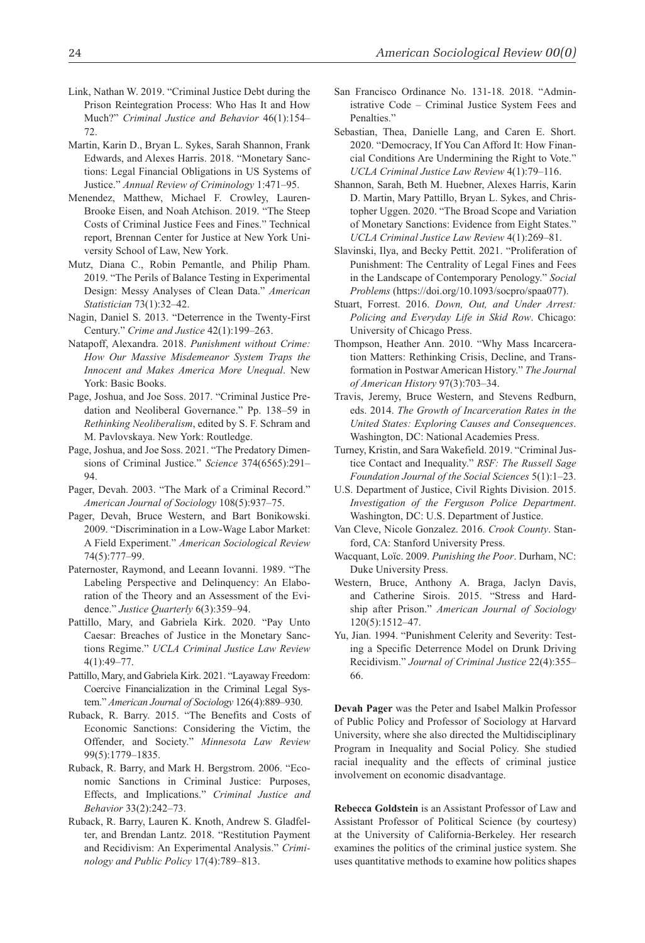- Link, Nathan W. 2019. "Criminal Justice Debt during the Prison Reintegration Process: Who Has It and How Much?" *Criminal Justice and Behavior* 46(1):154– 72.
- Martin, Karin D., Bryan L. Sykes, Sarah Shannon, Frank Edwards, and Alexes Harris. 2018. "Monetary Sanctions: Legal Financial Obligations in US Systems of Justice." *Annual Review of Criminology* 1:471–95.
- Menendez, Matthew, Michael F. Crowley, Lauren-Brooke Eisen, and Noah Atchison. 2019. "The Steep Costs of Criminal Justice Fees and Fines." Technical report, Brennan Center for Justice at New York University School of Law, New York.
- Mutz, Diana C., Robin Pemantle, and Philip Pham. 2019. "The Perils of Balance Testing in Experimental Design: Messy Analyses of Clean Data." *American Statistician* 73(1):32–42.
- Nagin, Daniel S. 2013. "Deterrence in the Twenty-First Century." *Crime and Justice* 42(1):199–263.
- Natapoff, Alexandra. 2018. *Punishment without Crime: How Our Massive Misdemeanor System Traps the Innocent and Makes America More Unequal*. New York: Basic Books.
- Page, Joshua, and Joe Soss. 2017. "Criminal Justice Predation and Neoliberal Governance." Pp. 138–59 in *Rethinking Neoliberalism*, edited by S. F. Schram and M. Pavlovskaya. New York: Routledge.
- Page, Joshua, and Joe Soss. 2021. "The Predatory Dimensions of Criminal Justice." *Science* 374(6565):291– 94.
- Pager, Devah. 2003. "The Mark of a Criminal Record." *American Journal of Sociology* 108(5):937–75.
- Pager, Devah, Bruce Western, and Bart Bonikowski. 2009. "Discrimination in a Low-Wage Labor Market: A Field Experiment." *American Sociological Review* 74(5):777–99.
- Paternoster, Raymond, and Leeann Iovanni. 1989. "The Labeling Perspective and Delinquency: An Elaboration of the Theory and an Assessment of the Evidence." *Justice Quarterly* 6(3):359–94.
- Pattillo, Mary, and Gabriela Kirk. 2020. "Pay Unto Caesar: Breaches of Justice in the Monetary Sanctions Regime." *UCLA Criminal Justice Law Review* 4(1):49–77.
- Pattillo, Mary, and Gabriela Kirk. 2021. "Layaway Freedom: Coercive Financialization in the Criminal Legal System." *American Journal of Sociology* 126(4):889–930.
- Ruback, R. Barry. 2015. "The Benefits and Costs of Economic Sanctions: Considering the Victim, the Offender, and Society." *Minnesota Law Review* 99(5):1779–1835.
- Ruback, R. Barry, and Mark H. Bergstrom. 2006. "Economic Sanctions in Criminal Justice: Purposes, Effects, and Implications." *Criminal Justice and Behavior* 33(2):242–73.
- Ruback, R. Barry, Lauren K. Knoth, Andrew S. Gladfelter, and Brendan Lantz. 2018. "Restitution Payment and Recidivism: An Experimental Analysis." *Criminology and Public Policy* 17(4):789–813.
- San Francisco Ordinance No. 131-18. 2018. "Administrative Code – Criminal Justice System Fees and Penalties."
- Sebastian, Thea, Danielle Lang, and Caren E. Short. 2020. "Democracy, If You Can Afford It: How Financial Conditions Are Undermining the Right to Vote." *UCLA Criminal Justice Law Review* 4(1):79–116.
- Shannon, Sarah, Beth M. Huebner, Alexes Harris, Karin D. Martin, Mary Pattillo, Bryan L. Sykes, and Christopher Uggen. 2020. "The Broad Scope and Variation of Monetary Sanctions: Evidence from Eight States." *UCLA Criminal Justice Law Review* 4(1):269–81.
- Slavinski, Ilya, and Becky Pettit. 2021. "Proliferation of Punishment: The Centrality of Legal Fines and Fees in the Landscape of Contemporary Penology." *Social Problems* (https://doi.org/10.1093/socpro/spaa077).
- Stuart, Forrest. 2016. *Down, Out, and Under Arrest: Policing and Everyday Life in Skid Row*. Chicago: University of Chicago Press.
- Thompson, Heather Ann. 2010. "Why Mass Incarceration Matters: Rethinking Crisis, Decline, and Transformation in Postwar American History." *The Journal of American History* 97(3):703–34.
- Travis, Jeremy, Bruce Western, and Stevens Redburn, eds. 2014. *The Growth of Incarceration Rates in the United States: Exploring Causes and Consequences*. Washington, DC: National Academies Press.
- Turney, Kristin, and Sara Wakefield. 2019. "Criminal Justice Contact and Inequality." *RSF: The Russell Sage Foundation Journal of the Social Sciences* 5(1):1–23.
- U.S. Department of Justice, Civil Rights Division. 2015. *Investigation of the Ferguson Police Department*. Washington, DC: U.S. Department of Justice.
- Van Cleve, Nicole Gonzalez. 2016. *Crook County*. Stanford, CA: Stanford University Press.
- Wacquant, Loïc. 2009. *Punishing the Poor*. Durham, NC: Duke University Press.
- Western, Bruce, Anthony A. Braga, Jaclyn Davis, and Catherine Sirois. 2015. "Stress and Hardship after Prison." *American Journal of Sociology* 120(5):1512–47.
- Yu, Jian. 1994. "Punishment Celerity and Severity: Testing a Specific Deterrence Model on Drunk Driving Recidivism." *Journal of Criminal Justice* 22(4):355– 66.

**Devah Pager** was the Peter and Isabel Malkin Professor of Public Policy and Professor of Sociology at Harvard University, where she also directed the Multidisciplinary Program in Inequality and Social Policy. She studied racial inequality and the effects of criminal justice involvement on economic disadvantage.

**Rebecca Goldstein** is an Assistant Professor of Law and Assistant Professor of Political Science (by courtesy) at the University of California-Berkeley. Her research examines the politics of the criminal justice system. She uses quantitative methods to examine how politics shapes